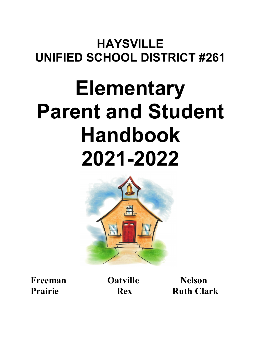# **HAYSVILLE UNIFIED SCHOOL DISTRICT #261**

# **Elementary Parent and Student Handbook 2021-2022**



**Freeman Oatville Nelson** 

**Prairie Rex Ruth Clark**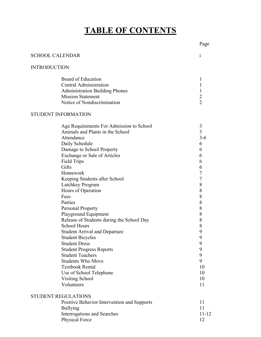### **TABLE OF CONTENTS**

### SCHOOL CALENDAR i INTRODUCTION Board of Education 1 Central Administration 1 Administration Building Phones 1<br>Mission Statement 2 **Mission Statement** Notice of Nondiscrimination 2 STUDENT INFORMATION Age Requirements For Admission to School 3 Animals and Plants in the School 3 Attendance 3-6 Daily Schedule 6 Damage to School Property 6 Exchange or Sale of Articles 6 Field Trips 6 Gifts 6 Homework<br>
Keening Students after School<br>
7 Keeping Students after School Latchkey Program 8 Hours of Operation 8 Fees 8 Parties 8 Personal Property 8 Playground Equipment 8 Release of Students during the School Day 8<br>School Hours 8 School Hours Student Arrival and Departure 9<br>Student Bicycles 9 Student Bicycles 9<br>Student Dress 9 **Student Dress** Student Progress Reports 9 Student Teachers 9<br>
Students Who Move 9 Students Who Move 9 Textbook Rental 10 Use of School Telephone 10 Visiting School 10 Volunteers 11 STUDENT REGULATIONS Positive Behavior Intervention and Supports 11 Bullying 11 Interrogations and Searches 11-12

Physical Force 12

Page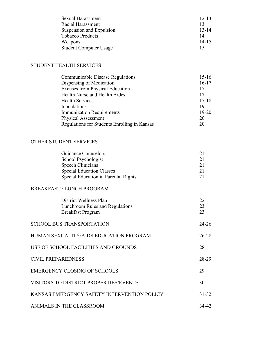| Sexual Harassment             | $12 - 13$ |
|-------------------------------|-----------|
| Racial Harassment             | 13        |
| Suspension and Expulsion      | $13 - 14$ |
| <b>Tobacco Products</b>       | 14        |
| Weapons                       | $14 - 15$ |
| <b>Student Computer Usage</b> | 15        |

### STUDENT HEALTH SERVICES

| <b>Communicable Disease Regulations</b>      | $15-16$   |
|----------------------------------------------|-----------|
| Dispensing of Medication                     | $16-17$   |
| <b>Excuses from Physical Education</b>       | 17        |
| Health Nurse and Health Aides                | 17        |
| <b>Health Services</b>                       | $17 - 18$ |
| Inoculations                                 | 19        |
| <b>Immunization Requirements</b>             | $19 - 20$ |
| <b>Physical Assessment</b>                   | 20        |
| Regulations for Students Enrolling in Kansas | 20        |

### OTHER STUDENT SERVICES

| <b>Guidance Counselors</b>           |    |
|--------------------------------------|----|
| School Psychologist                  | 21 |
| Speech Clinicians                    | 21 |
| <b>Special Education Classes</b>     |    |
| Special Education in Parental Rights |    |

### BREAKFAST / LUNCH PROGRAM

|                           | District Wellness Plan<br>Lunchroom Rules and Regulations<br><b>Breakfast Program</b> | 22<br>23<br>23 |
|---------------------------|---------------------------------------------------------------------------------------|----------------|
|                           | <b>SCHOOL BUS TRANSPORTATION</b>                                                      | 24-26          |
|                           | HUMAN SEXUALITY/AIDS EDUCATION PROGRAM                                                | 26-28          |
|                           | USE OF SCHOOL FACILITIES AND GROUNDS                                                  | 28             |
| <b>CIVIL PREPAREDNESS</b> |                                                                                       | 28-29          |
|                           | <b>EMERGENCY CLOSING OF SCHOOLS</b>                                                   | 29             |
|                           | <b>VISITORS TO DISTRICT PROPERTIES/EVENTS</b>                                         | 30             |
|                           | KANSAS EMERGENCY SAFETY INTERVENTION POLICY                                           | $31 - 32$      |
|                           | ANIMALS IN THE CLASSROOM                                                              | 34-42          |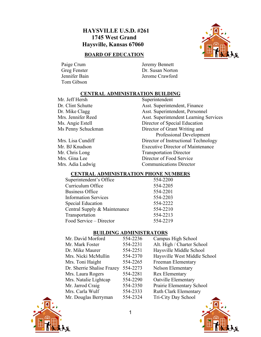### **HAYSVILLE U.S.D. #261 1745 West Grand Haysville, Kansas 67060**

### **BOARD OF EDUCATION**

Tom Gibson

Paige Crum Jeremy Bennett Greg Fenster Dr. Susan Norton Jennifer Bain Jerome Crawford

### **CENTRAL ADMINISTRATION BUILDING**

Mr. Jeff Hersh Superintendent<br>Dr. Clint Schutte Asst. Superintendent

Asst. Superintendent, Finance Dr. Mike Clagg Asst. Superintendent, Personnel Mrs. Jennifer Reed Asst. Superintendent Learning Services Ms. Angie Estell Director of Special Education Ms Penny Schuckman Director of Grant Writing and Professional Development Mrs. Lisa Cundiff Director of Instructional Technology Mr. BJ Knudson Executive Director of Maintenance Mr. Chris Long Transportation Director Mrs. Gina Lee Director of Food Service<br>
Mrs. Adia Ludwig Communications Directo Communications Director

### **CENTRAL ADMINISTRATION PHONE NUMBERS**

| 554-2200 |
|----------|
| 554-2205 |
| 554-2201 |
| 554-2203 |
| 554-2222 |
| 554-2210 |
| 554-2213 |
| 554-2219 |
|          |

### **BUILDING ADMINISTRATORS**

| Mr. David Morford          | 554-2236 | Campus High School           |
|----------------------------|----------|------------------------------|
| Mr. Mark Foster            | 554-2231 | Alt. High / Charter School   |
| Dr. Mike Maurer            | 554-2251 | Haysville Middle School      |
| Mrs. Nicki McMullin        | 554-2370 | Haysville West Middle School |
| Mrs. Toni Haight           | 554-2265 | Freeman Elementary           |
| Dr. Sherrie Shalise Frazey | 554-2273 | <b>Nelson Elementary</b>     |
| Mrs. Laura Rogers          | 554-2281 | <b>Rex Elementary</b>        |
| Mrs. Natalie Lightcap      | 554-2290 | Oatville Elementary          |
| Mr. Jarrod Craig           | 554-2350 | Prairie Elementary School    |
| Mrs. Carla Wulf            | 554-2333 | <b>Ruth Clark Elementary</b> |
| Mr. Douglas Berryman       | 554-2324 | Tri-City Day School          |



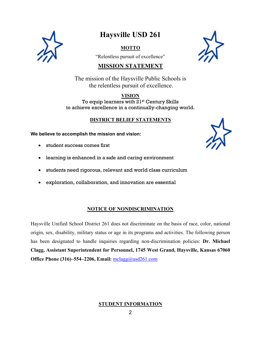

### **Haysville USD 261**

### **MOTTO**

"Relentless pursuit of excellence"



### **MISSION STATEMENT**

The mission of the Haysville Public Schools is the relentless pursuit of excellence.

### **VISION**

To equip learners with 21<sup>st</sup> Century Skills to achieve excellence in a continually-changing world.

### **DISTRICT BELIEF STATEMENTS**

**We believe to accomplish the mission and vision:**

- student success comes first
- learning is enhanced in a safe and caring environment
- students need rigorous, relevant and world class curriculum
- exploration, collaboration, and innovation are essential

### **NOTICE OF NONDISCRIMINATION**

Haysville Unified School District 261 does not discriminate on the basis of race, color, national origin, sex, disability, military status or age in its programs and activities. The following person has been designated to handle inquiries regarding non-discrimination policies: **Dr. Michael Clagg, Assistant Superintendent for Personnel, 1745 West Grand, Haysville, Kansas 67060 Office Phone (316)–554–2206, Email:**  $\frac{\text{mclagg}(a)\text{usd261.com}}{200}$ 

### **STUDENT INFORMATION**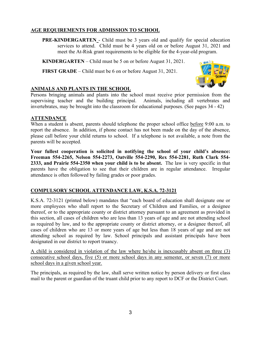### **AGE REQUIREMENTS FOR ADMISSION TO SCHOOL**

**PRE-KINDERGARTEN** - Child must be 3 years old and qualify for special education services to attend. Child must be 4 years old on or before August 31, 2021 and meet the At-Risk grant requirements to be eligible for the 4-year-old program.

**KINDERGARTEN** – Child must be 5 on or before August 31, 2021.

**FIRST GRADE** – Child must be 6 on or before August 31, 2021.



### **ANIMALS AND PLANTS IN THE SCHOOL**

Persons bringing animals and plants into the school must receive prior permission from the supervising teacher and the building principal. Animals, including all vertebrates and invertebrates, may be brought into the classroom for educational purposes. (See pages 34 - 42)

### **ATTENDANCE**

When a student is absent, parents should telephone the proper school office before 9:00 a.m. to report the absence. In addition, if phone contact has not been made on the day of the absence, please call before your child returns to school. If a telephone is not available, a note from the parents will be accepted.

**Your fullest cooperation is solicited in notifying the school of your child's absence: Freeman 554-2265, Nelson 554-2273, Oatville 554-2290, Rex 554-2281, Ruth Clark 554- 2333, and Prairie 554-2350 when your child is to be absent.** The law is very specific in that parents have the obligation to see that their children are in regular attendance. Irregular attendance is often followed by failing grades or poor grades.

### **COMPULSORY SCHOOL ATTENDANCE LAW, K.S.A. 72-3121**

K.S.A. 72-3121 (printed below) mandates that "each board of education shall designate one or more employees who shall report to the Secretary of Children and Families, or a designee thereof, or to the appropriate county or district attorney pursuant to an agreement as provided in this section, all cases of children who are less than 13 years of age and are not attending school as required by law, and to the appropriate county or district attorney, or a designee thereof, all cases of children who are 13 or more years of age but less than 18 years of age and are not attending school as required by law. School principals and assistant principals have been designated in our district to report truancy.

A child is considered in violation of the law where he/she is inexcusably absent on three (3) consecutive school days, five (5) or more school days in any semester, or seven (7) or more school days in a given school year.

The principals, as required by the law, shall serve written notice by person delivery or first class mail to the parent or guardian of the truant child prior to any report to DCF or the District Court.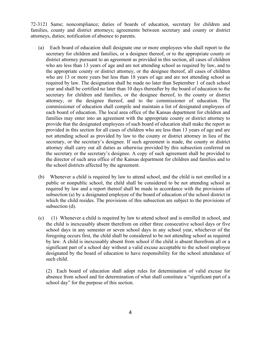72-3121 Same; noncompliance; duties of boards of education, secretary for children and families, county and district attorneys; agreements between secretary and county or district attorneys, duties; notification of absence to parents.

- (a) Each board of education shall designate one or more employees who shall report to the secretary for children and families, or a designee thereof, or to the appropriate county or district attorney pursuant to an agreement as provided in this section, all cases of children who are less than 13 years of age and are not attending school as required by law, and to the appropriate county or district attorney, or the designee thereof, all cases of children who are 13 or more years but less than 18 years of age and are not attending school as required by law. The designation shall be made no later than September 1 of each school year and shall be certified no later than 10 days thereafter by the board of education to the secretary for children and families, or the designee thereof, to the county or district attorney, or the designee thereof, and to the commissioner of education. The commissioner of education shall compile and maintain a list of designated employees of each board of education. The local area office of the Kansas department for children and families may enter into an agreement with the appropriate county or district attorney to provide that the designated employees of such board of education shall make the report as provided in this section for all cases of children who are less than 13 years of age and are not attending school as provided by law to the county or district attorney in lieu of the secretary, or the secretary's designee. If such agreement is made, the county or district attorney shall carry out all duties as otherwise provided by this subsection conferred on the secretary or the secretary's designee. A copy of such agreement shall be provided to the director of such area office of the Kansas department for children and families and to the school districts affected by the agreement.
- (b) Whenever a child is required by law to attend school, and the child is not enrolled in a public or nonpublic school, the child shall be considered to be not attending school as required by law and a report thereof shall be made in accordance with the provisions of subsection (a) by a designated employee of the board of education of the school district in which the child resides. The provisions of this subsection are subject to the provisions of subsection (d).
- (c) (1) Whenever a child is required by law to attend school and is enrolled in school, and the child is inexcusably absent therefrom on either three consecutive school days or five school days in any semester or seven school days in any school year, whichever of the foregoing occurs first, the child shall be considered to be not attending school as required by law. A child is inexcusably absent from school if the child is absent therefrom all or a significant part of a school day without a valid excuse acceptable to the school employee designated by the board of education to have responsibility for the school attendance of such child.

(2) Each board of education shall adopt rules for determination of valid excuse for absence from school and for determination of what shall constitute a "significant part of a school day" for the purpose of this section.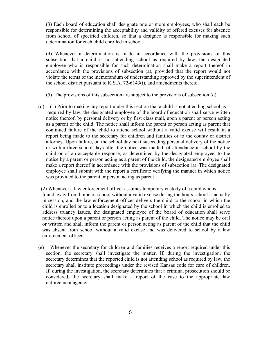(3) Each board of education shall designate one or more employees, who shall each be responsible for determining the acceptability and validity of offered excuses for absence from school of specified children, so that a designee is responsible for making such determination for each child enrolled in school.

(4) Whenever a determination is made in accordance with the provisions of this subsection that a child is not attending school as required by law, the designated employee who is responsible for such determination shall make a report thereof in accordance with the provisions of subsection (a), provided that the report would not violate the terms of the memorandum of understanding approved by the superintendent of the school district pursuant to K.S.A. 72-6143(i), and amendments thereto.

- (5) The provisions of this subsection are subject to the provisions of subsection (d).
- (d) (1) Prior to making any report under this section that a child is not attending school as required by law, the designated employee of the board of education shall serve written notice thereof, by personal delivery or by first class mail, upon a parent or person acting as a parent of the child. The notice shall inform the parent or person acting as parent that continued failure of the child to attend school without a valid excuse will result in a report being made to the secretary for children and families or to the county or district attorney. Upon failure, on the school day next succeeding personal delivery of the notice or within three school days after the notice was mailed, of attendance at school by the child or of an acceptable response, as determined by the designated employee, to the notice by a parent or person acting as a parent of the child, the designated employee shall make a report thereof in accordance with the provisions of subsection (a). The designated employee shall submit with the report a certificate verifying the manner in which notice was provided to the parent or person acting as parent.

 (2) Whenever a law enforcement officer assumes temporary custody of a child who is found away from home or school without a valid excuse during the hours school is actually in session, and the law enforcement officer delivers the child to the school in which the child is enrolled or to a location designated by the school in which the child is enrolled to address truancy issues, the designated employee of the board of education shall serve notice thereof upon a parent or person acting as parent of the child. The notice may be oral or written and shall inform the parent or person acting as parent of the child that the child was absent from school without a valid excuse and was delivered to school by a law enforcement officer.

(e) Whenever the secretary for children and families receives a report required under this section, the secretary shall investigate the matter. If, during the investigation, the secretary determines that the reported child is not attending school as required by law, the secretary shall institute proceedings under the revised Kansas code for care of children. If, during the investigation, the secretary determines that a criminal prosecution should be considered, the secretary shall make a report of the case to the appropriate law enforcement agency.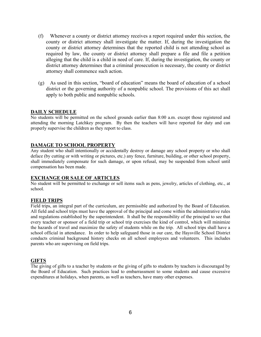- (f) Whenever a county or district attorney receives a report required under this section, the county or district attorney shall investigate the matter. If, during the investigation the county or district attorney determines that the reported child is not attending school as required by law, the county or district attorney shall prepare a file and file a petition alleging that the child is a child in need of care. If, during the investigation, the county or district attorney determines that a criminal prosecution is necessary, the county or district attorney shall commence such action.
- (g) As used in this section, "board of education" means the board of education of a school district or the governing authority of a nonpublic school. The provisions of this act shall apply to both public and nonpublic schools.

### **DAILY SCHEDULE**

No students will be permitted on the school grounds earlier than 8:00 a.m. except those registered and attending the morning Latchkey program. By then the teachers will have reported for duty and can properly supervise the children as they report to class.

### **DAMAGE TO SCHOOL PROPERTY**

Any student who shall intentionally or accidentally destroy or damage any school property or who shall deface (by cutting or with writing or pictures, etc.) any fence, furniture, building, or other school property, shall immediately compensate for such damage, or upon refusal, may be suspended from school until compensation has been made.

#### **EXCHANGE OR SALE OF ARTICLES**

No student will be permitted to exchange or sell items such as pens, jewelry, articles of clothing, etc., at school.

### **FIELD TRIPS**

Field trips, an integral part of the curriculum, are permissible and authorized by the Board of Education. All field and school trips must have the approval of the principal and come within the administrative rules and regulations established by the superintendent. It shall be the responsibility of the principal to see that every teacher or sponsor of a field trip or school trip exercises the kind of control, which will minimize the hazards of travel and maximize the safety of students while on the trip. All school trips shall have a school official in attendance. In order to help safeguard those in our care, the Haysville School District conducts criminal background history checks on all school employees and volunteers. This includes parents who are supervising on field trips.

### **GIFTS**

The giving of gifts to a teacher by students or the giving of gifts to students by teachers is discouraged by the Board of Education. Such practices lead to embarrassment to some students and cause excessive expenditures at holidays, when parents, as well as teachers, have many other expenses.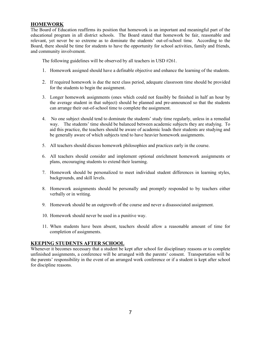### **HOMEWORK**

The Board of Education reaffirms its position that homework is an important and meaningful part of the educational program in all district schools. The Board stated that homework be fair, reasonable and relevant, yet never be so extreme as to dominate the students' out-of-school time. According to the Board, there should be time for students to have the opportunity for school activities, family and friends, and community involvement.

The following guidelines will be observed by all teachers in USD #261.

- 1. Homework assigned should have a definable objective and enhance the learning of the students.
- 2. If required homework is due the next class period, adequate classroom time should be provided for the students to begin the assignment.
- 3. Longer homework assignments (ones which could not feasibly be finished in half an hour by the average student in that subject) should be planned and pre-announced so that the students can arrange their out-of-school time to complete the assignment.
- 4. No one subject should tend to dominate the students' study time regularly, unless in a remedial way. The students' time should be balanced between academic subjects they are studying. To aid this practice, the teachers should be aware of academic loads their students are studying and be generally aware of which subjects tend to have heavier homework assignments.
- 5. All teachers should discuss homework philosophies and practices early in the course.
- 6. All teachers should consider and implement optional enrichment homework assignments or plans, encouraging students to extend their learning.
- 7. Homework should be personalized to meet individual student differences in learning styles, backgrounds, and skill levels.
- 8. Homework assignments should be personally and promptly responded to by teachers either verbally or in writing.
- 9. Homework should be an outgrowth of the course and never a disassociated assignment.
- 10. Homework should never be used in a punitive way.
- 11. When students have been absent, teachers should allow a reasonable amount of time for completion of assignments.

### **KEEPING STUDENTS AFTER SCHOOL**

Whenever it becomes necessary that a student be kept after school for disciplinary reasons or to complete unfinished assignments, a conference will be arranged with the parents' consent. Transportation will be the parents' responsibility in the event of an arranged work conference or if a student is kept after school for discipline reasons.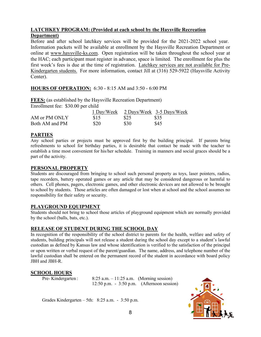### **LATCHKEY PROGRAM: (Provided at each school by the Haysville Recreation Department)**

Before and after school latchkey services will be provided for the 2021-2022 school year. Information packets will be available at enrollment by the Haysville Recreation Department or online at [www.haysville-ks.com.](http://www.haysville-ks.com/) Open registration will be taken throughout the school year at the HAC; each participant must register in advance, space is limited. The enrollment fee plus the first week's fees is due at the time of registration. Latchkey services are not available for Pre-Kindergarten students. For more information, contact Jill at (316) 529-5922 (Haysville Activity Center).

### **HOURS OF OPERATION:** 6:30 - 8:15 AM and 3:50 - 6:00 PM

**FEES:** (as established by the Haysville Recreation Department) Enrollment fee: \$30.00 per child

|                |      |      | 1 Day/Week 2 Days/Week 3-5 Days/Week |
|----------------|------|------|--------------------------------------|
| AM or PM ONLY  | \$15 | \$25 | \$35                                 |
| Both AM and PM | \$20 | \$30 | \$45                                 |

### **PARTIES**

Any school parties or projects must be approved first by the building principal. If parents bring refreshments to school for birthday parties, it is desirable that contact be made with the teacher to establish a time most convenient for his/her schedule. Training in manners and social graces should be a part of the activity.

### **PERSONAL PROPERTY**

Students are discouraged from bringing to school such personal property as toys, laser pointers, radios, tape recorders, battery operated games or any article that may be considered dangerous or harmful to others. Cell phones, pagers, electronic games, and other electronic devices are not allowed to be brought to school by students. Those articles are often damaged or lost when at school and the school assumes no responsibility for their safety or security.

### **PLAYGROUND EQUIPMENT**

Students should not bring to school those articles of playground equipment which are normally provided by the school (balls, bats, etc.).

### **RELEASE OF STUDENT DURING THE SCHOOL DAY**

In recognition of the responsibility of the school district to parents for the health, welfare and safety of students, building principals will not release a student during the school day except to a student's lawful custodian as defined by Kansas law and whose identification is verified to the satisfaction of the principal or upon written or verbal request of the parent/guardian. The name, address, and telephone number of the lawful custodian shall be entered on the permanent record of the student in accordance with board policy JBH and JBH-R.

### **SCHOOL HOURS**

Pre- Kindergarten : 8:25 a.m. – 11:25 a.m. (Morning session) 12:50 p.m. - 3:50 p.m. (Afternoon session)

Grades Kindergarten – 5th: 8:25 a.m. - 3:50 p.m.

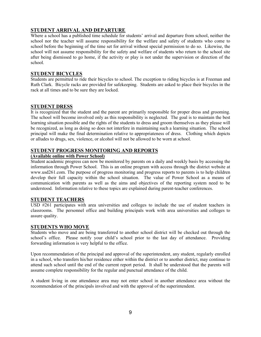### **STUDENT ARRIVAL AND DEPARTURE**

Where a school has a published time schedule for students' arrival and departure from school, neither the school nor the teacher will assume responsibility for the welfare and safety of students who come to school before the beginning of the time set for arrival without special permission to do so. Likewise, the school will not assume responsibility for the safety and welfare of students who return to the school site after being dismissed to go home, if the activity or play is not under the supervision or direction of the school.

### **STUDENT BICYCLES**

Students are permitted to ride their bicycles to school. The exception to riding bicycles is at Freeman and Ruth Clark. Bicycle racks are provided for safekeeping. Students are asked to place their bicycles in the rack at all times and to be sure they are locked.

### **STUDENT DRESS**

It is recognized that the student and the parent are primarily responsible for proper dress and grooming. The school will become involved only as this responsibility is neglected. The goal is to maintain the best learning situation possible and the rights of the students to dress and groom themselves as they please will be recognized, as long as doing so does not interfere in maintaining such a learning situation. The school principal will make the final determination relative to appropriateness of dress. Clothing which depicts or alludes to drugs, sex, violence, or alcohol will not be allowed to be worn at school.

### **STUDENT PROGRESS MONITORING AND REPORTS**

### **(Available online with Power School)**

Student academic progress can now be monitored by parents on a daily and weekly basis by accessing the information through Power School. This is an online program with access through the district website at www.usd261.com. The purpose of progress monitoring and progress reports to parents is to help children develop their full capacity within the school situation. The value of Power School as a means of communication with parents as well as the aims and objectives of the reporting system need to be understood. Information relative to these topics are explained during parent-teacher conferences.

### **STUDENT TEACHERS**

USD #261 participates with area universities and colleges to include the use of student teachers in classrooms. The personnel office and building principals work with area universities and colleges to assure quality.

### **STUDENTS WHO MOVE**

Students who move and are being transferred to another school district will be checked out through the school's office. Please notify your child's school prior to the last day of attendance. Providing forwarding information is very helpful to the office.

Upon recommendation of the principal and approval of the superintendent, any student, regularly enrolled in a school, who transfers his/her residence either within the district or to another district, may continue to attend such school until the end of the current report period. It shall be understood that the parents will assume complete responsibility for the regular and punctual attendance of the child.

A student living in one attendance area may not enter school in another attendance area without the recommendation of the principals involved and with the approval of the superintendent.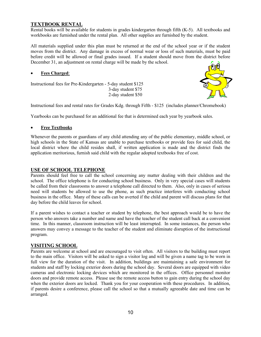### **TEXTBOOK RENTAL**

Rental books will be available for students in grades kindergarten through fifth (K-5). All textbooks and workbooks are furnished under the rental plan. All other supplies are furnished by the student.

All materials supplied under this plan must be returned at the end of the school year or if the student moves from the district. Any damage in excess of normal wear or loss of such materials, must be paid before credit will be allowed or final grades issued. If a student should move from the district before December 31, an adjustment on rental charge will be made by the school.

#### • **Fees Charged**:

Instructional fees for Pre-Kindergarten - 5-day student \$125 3-day student \$75 2-day student \$50



Instructional fees and rental rates for Grades Kdg. through Fifth - \$125 (includes planner/Chromebook)

Yearbooks can be purchased for an additional fee that is determined each year by yearbook sales.

### • **Free Textbooks**

Whenever the parents or guardians of any child attending any of the public elementary, middle school, or high schools in the State of Kansas are unable to purchase textbooks or provide fees for said child, the local district where the child resides shall, if written application is made and the district finds the application meritorious, furnish said child with the regular adopted textbooks free of cost.

### **USE OF SCHOOL TELEPHONE**

Parents should feel free to call the school concerning any matter dealing with their children and the school. The office telephone is for conducting school business. Only in very special cases will students be called from their classrooms to answer a telephone call directed to them. Also, only in cases of serious need will students be allowed to use the phone, as such practice interferes with conducting school business in the office. Many of these calls can be averted if the child and parent will discuss plans for that day before the child leaves for school.

If a parent wishes to contact a teacher or student by telephone, the best approach would be to have the person who answers take a number and name and have the teacher of the student call back at a convenient time. In this manner, classroom instruction will be least interrupted. In some instances, the person who answers may convey a message to the teacher of the student and eliminate disruption of the instructional program.

#### **VISITING SCHOOL**

Parents are welcome at school and are encouraged to visit often. All visitors to the building must report to the main office. Visitors will be asked to sign a visitor log and will be given a name tag to be worn in full view for the duration of the visit. In addition, buildings are maintaining a safe environment for students and staff by locking exterior doors during the school day. Several doors are equipped with video cameras and electronic locking devices which are monitored in the offices. Office personnel monitor doors and provide remote access. Please use the remote access button to gain entry during the school day when the exterior doors are locked. Thank you for your cooperation with these procedures. In addition, if parents desire a conference, please call the school so that a mutually agreeable date and time can be arranged.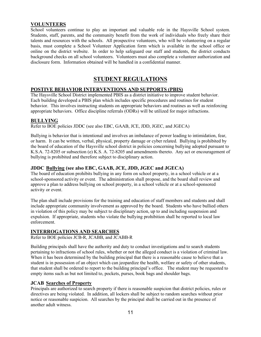### **VOLUNTEERS**

School volunteers continue to play an important and valuable role in the Haysville School system. Students, staff, parents, and the community benefit from the work of individuals who freely share their talents and resources with the schools. All prospective volunteers, who will be volunteering on a regular basis, must complete a School Volunteer Application form which is available in the school office or online on the district website. In order to help safeguard our staff and students, the district conducts background checks on all school volunteers. Volunteers must also complete a volunteer authorization and disclosure form. Information obtained will be handled in a confidential manner.

### **STUDENT REGULATIONS**

### **POSTIVE BEHAVIOR INTERVENTIONS AND SUPPORTS (PBIS)**

The Haysville School District implemented PBIS as a district initiative to improve student behavior. Each building developed a PBIS plan which includes specific procedures and routines for student behavior. This involves instructing students on appropriate behaviors and routines as well as reinforcing appropriate behaviors. Office discipline referrals (ODRs) will be utilized for major infractions.

### **BULLYING**

Refer to BOE policies JDDC (see also EBC, GAAB, JCE, JDD, JGEC, and JGECA)

Bullying is behavior that is intentional and involves an imbalance of power leading to intimidation, fear, or harm. It can be written, verbal, physical, property damage or cyber related. Bullying is prohibited by the board of education of the Haysville school district in policies concerning bullying adopted pursuant to K.S.A. 72-8205 or subsection (e) K.S. A. 72-8205 and amendments thereto. Any act or encouragement of bullying is prohibited and therefore subject to disciplinary action.

### **JDDC Bullying (see also EBC, GAAB, JCE, JDD, JGEC and JGECA)**

The board of education prohibits bullying in any form on school property, in a school vehicle or at a school-sponsored activity or event. The administration shall propose, and the board shall review and approve a plan to address bullying on school property, in a school vehicle or at a school-sponsored activity or event.

The plan shall include provisions for the training and education of staff members and students and shall include appropriate community involvement as approved by the board. Students who have bullied others in violation of this policy may be subject to disciplinary action, up to and including suspension and expulsion. If appropriate, students who violate the bullying prohibition shall be reported to local law enforcement.

### **INTERROGATIONS AND SEARCHES**

Refer to BOE policies JCB-R, JCABB, and JCABB-R

Building principals shall have the authority and duty to conduct investigations and to search students pertaining to infractions of school rules, whether or not the alleged conduct is a violation of criminal law. When it has been determined by the building principal that there is a reasonable cause to believe that a student is in possession of an object which can jeopardize the health, welfare or safety of other students, that student shall be ordered to report to the building principal's office. The student may be requested to empty items such as but not limited to, pockets, purses, book bags and shoulder bags.

### **JCAB Searches of Property**

Principals are authorized to search property if there is reasonable suspicion that district policies, rules or directives are being violated. In addition, all lockers shall be subject to random searches without prior notice or reasonable suspicion. All searches by the principal shall be carried out in the presence of another adult witness.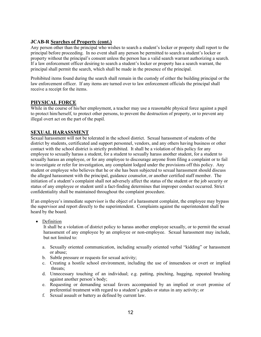### **JCAB-R Searches of Property (cont.)**

Any person other than the principal who wishes to search a student's locker or property shall report to the principal before proceeding. In no event shall any person be permitted to search a student's locker or property without the principal's consent unless the person has a valid search warrant authorizing a search. If a law enforcement officer desiring to search a student's locker or property has a search warrant, the principal shall permit the search, which shall be made in the presence of the principal.

Prohibited items found during the search shall remain in the custody of either the building principal or the law enforcement officer. If any items are turned over to law enforcement officials the principal shall receive a receipt for the items.

### **PHYSICAL FORCE**

While in the course of his/her employment, a teacher may use a reasonable physical force against a pupil to protect him/herself, to protect other persons, to prevent the destruction of property, or to prevent any illegal overt act on the part of the pupil.

### **SEXUAL HARASSMENT**

Sexual harassment will not be tolerated in the school district. Sexual harassment of students of the district by students, certificated and support personnel, vendors, and any others having business or other contact with the school district is strictly prohibited. It shall be a violation of this policy for any employee to sexually harass a student, for a student to sexually harass another student, for a student to sexually harass an employee, or for any employee to discourage anyone from filing a complaint or to fail to investigate or refer for investigation, any complaint lodged under the provisions off this policy. Any student or employee who believes that he or she has been subjected to sexual harassment should discuss the alleged harassment with the principal, guidance counselor, or another certified staff member. The initiation of a student's complaint shall not adversely affect the status of the student or the job security or status of any employee or student until a fact-finding determines that improper conduct occurred. Strict confidentiality shall be maintained throughout the complaint procedure.

If an employee's immediate supervisor is the object of a harassment complaint, the employee may bypass the supervisor and report directly to the superintendent. Complaints against the superintendent shall be heard by the board.

• Definition

It shall be a violation of district policy to harass another employee sexually, or to permit the sexual harassment of any employee by an employee or non-employee. Sexual harassment may include, but not limited to:

- a. Sexually oriented communication, including sexually oriented verbal "kidding" or harassment or abuse;
- b. Subtle pressure or requests for sexual activity;
- c. Creating a hostile school environment, including the use of innuendoes or overt or implied threats;
- d. Unnecessary touching of an individual; e.g. patting, pinching, hugging, repeated brushing against another person's body;
- e. Requesting or demanding sexual favors accompanied by an implied or overt promise of preferential treatment with regard to a student's grades or status in any activity; or
- f. Sexual assault or battery as defined by current law.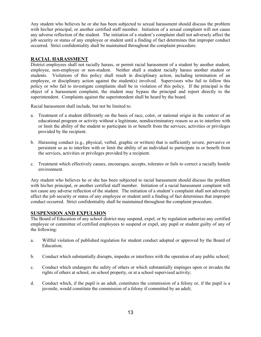Any student who believes he or she has been subjected to sexual harassment should discuss the problem with his/her principal, or another certified staff member. Initiation of a sexual complaint will not cause any adverse reflection of the student. The initiation of a student's complaint shall not adversely affect the job security or status of any employee or student until a finding of fact determines that improper conduct occurred. Strict confidentiality shall be maintained throughout the complaint procedure.

### **RACIAL HARASSMENT**

District employees shall not racially harass, or permit racial harassment of a student by another student, employee, non-employee or non-student. Neither shall a student racially harass another student or students. Violations of this policy shall result in disciplinary action, including termination of an employee, or disciplinary action against the student(s) involved. Supervisors who fail to follow this policy or who fail to investigate complaints shall be in violation of this policy. If the principal is the object of a harassment complaint, the student may bypass the principal and report directly to the superintendent. Complaints against the superintendent shall be heard by the board.

Racial harassment shall include, but not be limited to:

- a. Treatment of a student differently on the basis of race, color, or national origin in the context of an educational program or activity without a legitimate, nondiscriminatory reason so as to interfere with or limit the ability of the student to participate in or benefit from the services, activities or privileges provided by the recipient.
- b. Harassing conduct (e.g., physical, verbal, graphic or written) that is sufficiently severe, pervasive or persistent so as to interfere with or limit the ability of an individual to participate in or benefit from the services, activities or privileges provided by a recipient.
- c. Treatment which effectively causes, encourages, accepts, tolerates or fails to correct a racially hostile environment.

Any student who believes he or she has been subjected to racial harassment should discuss the problem with his/her principal, or another certified staff member. Initiation of a racial harassment complaint will not cause any adverse reflection of the student. The initiation of a student's complaint shall not adversely affect the job security or status of any employee or student until a finding of fact determines that improper conduct occurred. Strict confidentiality shall be maintained throughout the complaint procedure.

### **SUSPENSION AND EXPULSION**

The Board of Education of any school district may suspend, expel, or by regulation authorize any certified employee or committee of certified employees to suspend or expel, any pupil or student guilty of any of the following:

- a. Willful violation of published regulation for student conduct adopted or approved by the Board of Education;
- b. Conduct which substantially disrupts, impedes or interferes with the operation of any public school;
- c. Conduct which endangers the safety of others or which substantially impinges upon or invades the rights of others at school, on school property, or at a school supervised activity;
- d. Conduct which, if the pupil is an adult, constitutes the commission of a felony or, if the pupil is a juvenile, would constitute the commission of a felony if committed by an adult;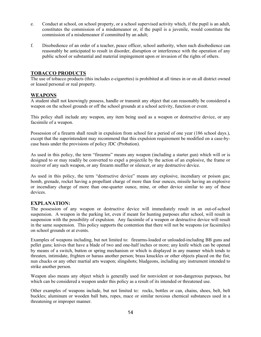- e. Conduct at school, on school property, or a school supervised activity which, if the pupil is an adult, constitutes the commission of a misdemeanor or, if the pupil is a juvenile, would constitute the commission of a misdemeanor if committed by an adult;
- f. Disobedience of an order of a teacher, peace officer, school authority, when such disobedience can reasonably be anticipated to result in disorder, disruption or interference with the operation of any public school or substantial and material impingement upon or invasion of the rights of others.

### **TOBACCO PRODUCTS**

The use of tobacco products (this includes e-cigarettes) is prohibited at all times in or on all district owned or leased personal or real property.

### **WEAPONS**

A student shall not knowingly possess, handle or transmit any object that can reasonably be considered a weapon on the school grounds or off the school grounds at a school activity, function or event.

This policy shall include any weapon, any item being used as a weapon or destructive device, or any facsimile of a weapon.

Possession of a firearm shall result in expulsion from school for a period of one year (186 school days.), except that the superintendent may recommend that this expulsion requirement be modified on a case-bycase basis under the provisions of policy JDC (Probation).

As used in this policy, the term "firearms" means any weapon (including a starter gun) which will or is designed to or may readily be converted to expel a projectile by the action of an explosive, the frame or receiver of any such weapon, or any firearm muffler or silencer, or any destructive device.

As used in this policy, the term "destructive device" means any explosive, incendiary or poison gas; bomb, grenade, rocket having a propellant charge of more than four ounces, missile having an explosive or incendiary charge of more than one-quarter ounce, mine, or other device similar to any of these devices.

### **EXPLANATION:**

The possession of any weapon or destructive device will immediately result in an out-of-school suspension. A weapon in the parking lot, even if meant for hunting purposes after school, will result in suspension with the possibility of expulsion. Any facsimile of a weapon or destructive device will result in the same suspension. This policy supports the contention that there will not be weapons (or facsimiles) on school grounds or at events.

Examples of weapons including, but not limited to: firearms-loaded or unloaded-including BB guns and pellet guns; knives that have a blade of two and one-half inches or more; any knife which can be opened by means of a switch, button or spring mechanism or which is displayed in any manner which tends to threaten, intimidate, frighten or harass another person; brass knuckles or other objects placed on the fist; nun chucks or any other martial arts weapon; slingshots; bludgeons, including any instrument intended to strike another person.

Weapon also means any object which is generally used for nonviolent or non-dangerous purposes, but which can be considered a weapon under this policy as a result of its intended or threatened use.

Other examples of weapons include, but not limited to: rocks, bottles or can, chains, shoes, belt, belt buckles; aluminum or wooden ball bats, ropes, mace or similar noxious chemical substances used in a threatening or improper manner.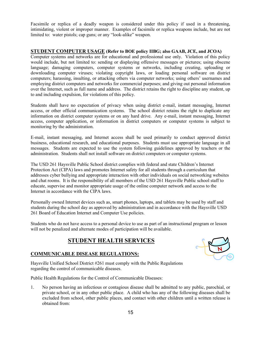Facsimile or replica of a deadly weapon is considered under this policy if used in a threatening, intimidating, violent or improper manner. Examples of facsimile or replica weapons include, but are not limited to: water pistols; cap guns; or any "look-alike" weapon.

### **STUDENT COMPUTER USAGE (Refer to BOE policy IIBG; also GAAB, JCE, and JCOA)**

Computer systems and networks are for educational and professional use only. Violation of this policy would include, but not limited to: sending or displaying offensive messages or pictures; using obscene language; damaging computers, computer systems or networks, including creating, uploading or downloading computer viruses; violating copyright laws, or loading personal software on district computers; harassing, insulting, or attacking others via computer networks; using others' usernames and employing district computers and networks for commercial purposes; and giving out personal information over the Internet, such as full name and address. The district retains the right to discipline any student, up to and including expulsion, for violations of this policy.

Students shall have no expectation of privacy when using district e-mail, instant messaging, Internet access, or other official communication systems. The school district retains the right to duplicate any information on district computer systems or on any hard drive. Any e-mail, instant messaging, Internet access, computer application, or information in district computers or computer systems is subject to monitoring by the administration.

E-mail, instant messaging, and Internet access shall be used primarily to conduct approved district business, educational research, and educational purposes. Students must use appropriate language in all messages. Students are expected to use the system following guidelines approved by teachers or the administration. Students shall not install software on district computers or computer systems.

The USD 261 Haysville Public School district complies with federal and state Children's Internet Protection Act (CIPA) laws and promotes Internet safety for all students through a curriculum that addresses cyber bullying and appropriate interaction with other individuals on social networking websites and chat rooms. It is the responsibility of all members of the USD 261 Haysville Public school staff to educate, supervise and monitor appropriate usage of the online computer network and access to the Internet in accordance with the CIPA laws.

Personally owned Internet devices such as, smart phones, laptops, and tablets may be used by staff and students during the school day as approved by administration and in accordance with the Haysville USD 261 Board of Education Internet and Computer Use policies.

Students who do not have access to a personal device to use as part of an instructional program or lesson will not be penalized and alternate modes of participation will be available.

### **STUDENT HEALTH SERVICES**





Haysville Unified School District #261 must comply with the Public Regulations regarding the control of communicable diseases.

Public Health Regulations for the Control of Communicable Diseases:

1. No person having an infectious or contagious disease shall be admitted to any public, parochial, or private school, or in any other public place. A child who has any of the following diseases shall be excluded from school, other public places, and contact with other children until a written release is obtained from: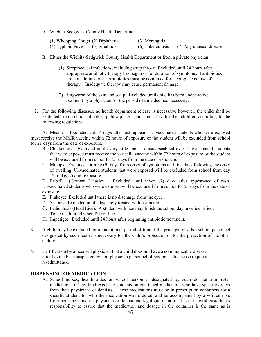A. Wichita-Sedgwick County Health Department

| (1) Whooping Cough (2) Diphtheria  | (3) Meningitis   |                         |
|------------------------------------|------------------|-------------------------|
| $(4)$ Typhoid Fever $(5)$ Smallpox | (6) Tuberculosis | (7) Any unusual disease |

- B. Either the Wichita-Sedgwick County Health Department or from a private physician:
	- (1) Streptococcal infections, including strep throat: Excluded until 24 hours after appropriate antibiotic therapy has begun or for duration of symptoms, if antibiotics are not administered. Antibiotics must be continued for a complete course of therapy. Inadequate therapy may cause permanent damage.
	- (2) Ringworm of the skin and scalp: Excluded until child has been under active treatment by a physician for the period of time deemed necessary.
- 2. For the following diseases, no health department release is necessary; however, the child shall be excluded from school, all other public places, and contact with other children according to the following regulations:

A. Measles: Excluded until 4 days after rash appears. Unvaccinated students who were exposed must receive the MMR vaccine within 72 hours of exposure or the student will be excluded from school for 21 days from the date of exposure.

- B. Chickenpox: Excluded until every little spot is crusted/scabbed over. Unvaccinated students that were exposed must receive the varicella vaccine within 72 hours of exposure or the student will be excluded from school for 21 days from the date of exposure.
- C. Mumps: Excluded for nine (9) days from onset of symptoms and five days following the onset of swelling. Unvaccinated students that were exposed will be excluded from school from day 12 to day 25 after exposure.

D. Rubella: (German Measles): Excluded until seven (7) days after appearance of rash. Unvaccinated students who were exposed will be excluded from school for 21 days from the date of exposure.

- E. Pinkeye: Excluded until there is no discharge from the eye.
- F. Scabies: Excluded until adequately treated with scabicide.
- G. Pediculosis (Head Lice): A student with lice may finish the school day once identified. To be readmitted when free of lice.
- H. Impetigo: Excluded until 24 hours after beginning antibiotic treatment.
- 3. A child may be excluded for an additional period of time if the principal or other school personnel designated by such feel it is necessary for the child's protection or for the protection of the other children.
- 4. Certification by a licensed physician that a child does not have a communicable disease after having been suspected by non-physician personnel of having such disease requires re-admittance.

### **DISPENSING OF MEDICATION**

A. School nurses, health aides or school personnel designated by such do not administer medications of any kind except to students on continued medication who have specific orders from their physicians or dentists. These medications must be in prescription containers for a specific student for who the medication was ordered, and be accompanied by a written note from both the student's physician or dentist and legal guardian(s). It is the lawful custodian's responsibility to assure that the medication and dosage in the container is the same as is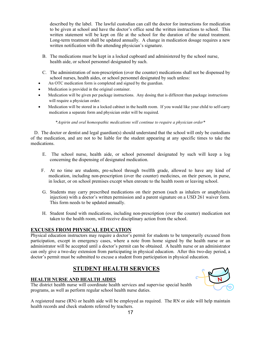described by the label. The lawful custodian can call the doctor for instructions for medication to be given at school and have the doctor's office send the written instructions to school. This written statement will be kept on file at the school for the duration of the stated treatment. Long-term treatment shall be updated annually. A change in medication dosage requires a new written notification with the attending physician's signature.

- B. The medications must be kept in a locked cupboard and administered by the school nurse, health aide, or school personnel designated by such.
- C. The administration of non-prescription (over the counter) medications shall not be dispensed by school nurses, health aides, or school personnel designated by such unless:
- An OTC medication form is completed and signed by the guardian.
- Medication is provided in the original container.
- Medication will be given per package instructions. Any dosing that is different than package instructions will require a physician order.
- Medication will be stored in a locked cabinet in the health room. If you would like your child to self-carry medication a separate form and physician order will be required.

\**Aspirin and oral homeopathic medications will continue to require a physician order\**

 D. The doctor or dentist and legal guardian(s) should understand that the school will only be custodians of the medication, and are not to be liable for the student appearing at any specific times to take the medications.

- E. The school nurse, health aide, or school personnel designated by such will keep a log concerning the dispensing of designated medication.
- F. At no time are students, pre-school through twelfth grade, allowed to have any kind of medication, including non-prescription (over the counter) medicines, on their person, in purse, in locker, or on school premises except when enroute to the health room or leaving school.
- G. Students may carry prescribed medications on their person (such as inhalers or anaphylaxis injection) with a doctor's written permission and a parent signature on a USD 261 waiver form. This form needs to be updated annually.
- H. Student found with medications, including non-prescription (over the counter) medication not taken to the health room, will receive disciplinary action from the school.

### **EXCUSES FROM PHYSICAL EDUCATION**

Physical education instructors may require a doctor's permit for students to be temporarily excused from participation, except in emergency cases, where a note from home signed by the health nurse or an administrator will be accepted until a doctor's permit can be obtained. A health nurse or an administrator can only give a two-day extension from participating in physical education. After this two-day period, a doctor's permit must be submitted to excuse a student from participation in physical education.

### **STUDENT HEALTH SERVICES**

### **HEALTH NURSE AND HEALTH AIDES**

The district health nurse will coordinate health services and supervise special health programs, as well as perform regular school health nurse duties.



A registered nurse (RN) or health aide will be employed as required. The RN or aide will help maintain health records and check students referred by teachers.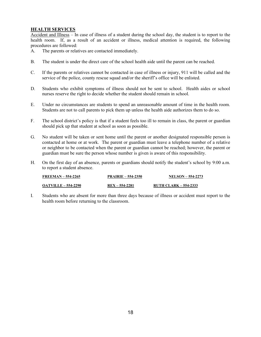### **HEALTH SERVICES**

Accident and Illness – In case of illness of a student during the school day, the student is to report to the health room. If, as a result of an accident or illness, medical attention is required, the following procedures are followed:

- A. The parents or relatives are contacted immediately.
- B. The student is under the direct care of the school health aide until the parent can be reached.
- C. If the parents or relatives cannot be contacted in case of illness or injury, 911 will be called and the service of the police, county rescue squad and/or the sheriff's office will be enlisted.
- D. Students who exhibit symptoms of illness should not be sent to school. Health aides or school nurses reserve the right to decide whether the student should remain in school.
- E. Under no circumstances are students to spend an unreasonable amount of time in the health room. Students are not to call parents to pick them up unless the health aide authorizes them to do so.
- F. The school district's policy is that if a student feels too ill to remain in class, the parent or guardian should pick up that student at school as soon as possible.
- G. No student will be taken or sent home until the parent or another designated responsible person is contacted at home or at work. The parent or guardian must leave a telephone number of a relative or neighbor to be contacted when the parent or guardian cannot be reached; however, the parent or guardian must be sure the person whose number is given is aware of this responsibility.
- H. On the first day of an absence, parents or guardians should notify the student's school by 9:00 a.m. to report a student absence.

| $FREEMAN - 554-2265$       | <b>PRAIRIE – 554-2350</b> | <b>NELSON – 554-2273</b>     |
|----------------------------|---------------------------|------------------------------|
| <b>OATVILLE – 554-2290</b> | $REX - 554-2281$          | <b>RUTH CLARK – 554-2333</b> |

I. Students who are absent for more than three days because of illness or accident must report to the health room before returning to the classroom.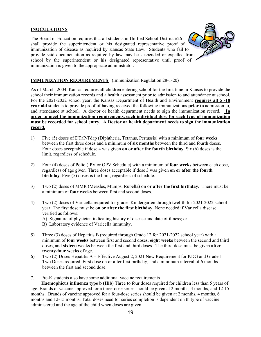### **INOCULATIONS**

The Board of Education requires that all students in Unified School District #261 shall provide the superintendent or his designated representative proof of immunization of disease as required by Kansas State Law. Students who fail to provide said documentation as required by law may be suspended or expelled from school by the superintendent or his designated representative until proof of immunization is given to the appropriate administrator.



As of March, 2004, Kansas requires all children entering school for the first time in Kansas to provide the school their immunization records and a health assessment prior to admission to and attendance at school. For the 2021-2022 school year, the Kansas Department of Health and Environment **requires all 5 -18 year old** students to provide proof of having received the following immunizations **prior to** admission to, and attendance at school. A doctor or health department needs to sign the immunization record. **In order to meet the immunization requirements, each individual dose for each type of immunization must be recorded for school entry. A Doctor or health department needs to sign the immunization record.**

- 1) Five (5) doses of DTaP/Tdap (Diphtheria, Tetanus, Pertussis) with a minimum of **four weeks**  between the first three doses and a minimum of **six months** between the third and fourth doses. Four doses acceptable if dose 4 was given **on or after the fourth birthday**. Six (6) doses is the limit, regardless of schedule.
- 2) Four (4) doses of Polio (IPV or OPV Schedule) with a minimum of **four weeks** between each dose, regardless of age given. Three doses acceptable if dose 3 was given **on or after the fourth birthday**. Five (5) doses is the limit, regardless of schedule.
- 3) Two (2) doses of MMR (Measles, Mumps, Rubella) **on or after the first birthday**. There must be a minimum of **four weeks** between first and second doses.
- 4) Two (2) doses of Varicella required for grades Kindergarten through twelfth for 2021-2022 school year. The first dose must be **on or after the first birthday**. None needed if Varicella disease verified as follows:
	- A) Signature of physician indicating history of disease and date of illness; or
	- B) Laboratory evidence of Varicella immunity.
- 5) Three (3) doses of Hepatitis B (required through Grade 12 for 2021-2022 school year) with a minimum of **four weeks** between first and second doses, **eight weeks** between the second and third doses, and **sixteen weeks** between the first and third doses. The third dose must be given **after twenty-four weeks** of age.
- 6) Two (2) Doses Hepatitis A Effective August 2, 2021 New Requirement for KDG and Grade 1 Two Doses required. First dose on or after first birthday, and a minimum interval of 6 months between the first and second dose.
- 7. Pre-K students also have some additional vaccine requirements

 **Haemophicus influenza type b (Hib)** Three to four doses required for children less than 5 years of age. Brands of vaccine approved for a three-dose series should be given at 2 months, 4 months, and 12-15 months. Brands of vaccine approved for a four-dose series should be given at 2 months, 4 months, 6 months and 12-15 months. Total doses need for series completion is dependent on th type of vaccine administered and the age of the child when doses are given.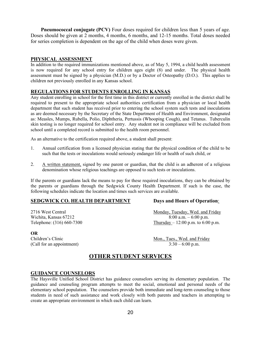**Pneumococcal conjugate** (PCV) Four doses required for children less than 5 years of age. Doses should be given at 2 months, 4 months, 6 months, and 12-15 months. Total doses needed for series completion is dependent on the age of the child when doses were given.

### **PHYSICAL ASSESSMENT**

In addition to the required immunizations mentioned above, as of May 5, 1994, a child health assessment is now required for any school entry for children ages eight (8) and under. The physical health assessment must be signed by a physician (M.D.) or by a Doctor of Osteopathy (D.O.). This applies to children not previously enrolled in any Kansas school.

### **REGULATIONS FOR STUDENTS ENROLLING IN KANSAS**

Any student enrolling in school for the first time in this district or currently enrolled in the district shall be required to present to the appropriate school authorities certification from a physician or local health department that such student has received prior to entering the school system such tests and inoculations as are deemed necessary by the Secretary of the State Department of Health and Environment, designated as: Measles, Mumps, Rubella, Polio, Diphtheria, Pertussis (Whooping Cough), and Tetanus. Tuberculin skin testing is no longer required for school entry. Any student not in compliance will be excluded from school until a completed record is submitted to the health room personnel.

As an alternative to the certification required above, a student shall present:

- 1. Annual certification from a licensed physician stating that the physical condition of the child to be such that the tests or inoculations would seriously endanger life or health of such child, or
- 2. A written statement, signed by one parent or guardian, that the child is an adherent of a religious denomination whose religious teachings are opposed to such tests or inoculations.

If the parents or guardians lack the means to pay for these required inoculations, they can be obtained by the parents or guardians through the Sedgwick County Health Department. If such is the case, the following schedules indicate the location and times such services are available.

### **SEDGWICK CO. HEALTH DEPARTMENT Days and Hours of Operation**:

2716 West Central 2002 Central Monday, Tuesday, Wed. and Friday Wichita, Kansas 67212 8:00 a.m. – 6:00 p.m. Telephone:  $(316) 660-7300$  Thursday – 12:00 p.m. to 6:00 p.m.

### **OR** (Call for an appointment)

Children's Clinic Mon., Tues., Wed. and Friday (Call for an appointment) 3:30 – 6:00 p.m.

### **OTHER STUDENT SERVICES**

#### **GUIDANCE COUNSELORS**

The Haysville Unified School District has guidance counselors serving its elementary population. The guidance and counseling program attempts to meet the social, emotional and personal needs of the elementary school population. The counselors provide both immediate and long-term counseling to those students in need of such assistance and work closely with both parents and teachers in attempting to create an appropriate environment in which each child can learn.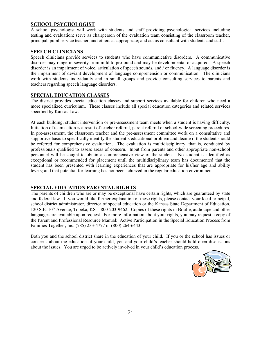### **SCHOOL PSYCHOLOGIST**

A school psychologist will work with students and staff providing psychological services including testing and evaluation; serve as chairperson of the evaluation team consisting of the classroom teacher, principal, pupil service teacher, and others as appropriate; and act as consultant with students and staff.

### **SPEECH CLINICIANS**

Speech clinicians provide services to students who have communicative disorders. A communicative disorder may range in severity from mild to profound and may be developmental or acquired. A speech disorder is an impairment of voice, articulation of speech sounds, and / or fluency. A language disorder is the impairment of deviant development of language comprehension or communication. The clinicians work with students individually and in small groups and provide consulting services to parents and teachers regarding speech language disorders.

### **SPECIAL EDUCATION CLASSES**

The district provides special education classes and support services available for children who need a more specialized curriculum. These classes include all special education categories and related services specified by Kansas Law.

At each building, student intervention or pre-assessment team meets when a student is having difficulty. Initiation of team action is a result of teacher referral, parent referral or school-wide screening procedures. In pre-assessment, the classroom teacher and the pre-assessment committee work on a consultative and supportive basis to specifically identify the student's educational problem and decide if the student should be referred for comprehensive evaluation. The evaluation is multidisciplinary, that is, conducted by professionals qualified to assess areas of concern. Input from parents and other appropriate non-school personnel will be sought to obtain a comprehensive view of the student. No student is identified as exceptional or recommended for placement until the multidisciplinary team has documented that the student has been presented with learning experiences that are appropriate for his/her age and ability levels; and that potential for learning has not been achieved in the regular education environment.

### **SPECIAL EDUCATION PARENTAL RIGHTS**

The parents of children who are or may be exceptional have certain rights, which are guaranteed by state and federal law. If you would like further explanation of these rights, please contact your local principal, school district administrator, director of special education or the Kansas State Department of Education, 120 S.E. 10th Avenue, Topeka, KS 1-800-203-9462. Copies of these rights in Braille, audiotape and other languages are available upon request. For more information about your rights, you may request a copy of the Parent and Professional Resource Manual: Active Participation in the Special Education Process from Families Together, Inc. (785) 233-4777 or (800) 264-6443.

Both you and the school district share in the education of your child. If you or the school has issues or concerns about the education of your child, you and your child's teacher should hold open discussions about the issues. You are urged to be actively involved in your child's education process.

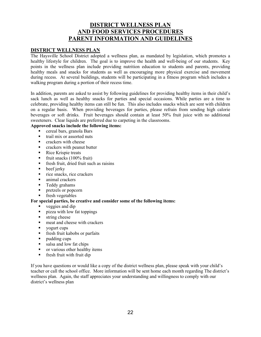### **DISTRICT WELLNESS PLAN AND FOOD SERVICES PROCEDURES PARENT INFORMATION AND GUIDELINES**

### **DISTRICT WELLNESS PLAN**

The Haysville School District adopted a wellness plan, as mandated by legislation, which promotes a healthy lifestyle for children. The goal is to improve the health and well-being of our students. Key points in the wellness plan include providing nutrition education to students and parents, providing healthy meals and snacks for students as well as encouraging more physical exercise and movement during recess. At several buildings, students will be participating in a fitness program which includes a walking program during a portion of their recess time.

In addition, parents are asked to assist by following guidelines for providing healthy items in their child's sack lunch as well as healthy snacks for parties and special occasions. While parties are a time to celebrate, providing healthy items can still be fun. This also includes snacks which are sent with children on a regular basis. When providing beverages for parties, please refrain from sending high calorie beverages or soft drinks. Fruit beverages should contain at least 50% fruit juice with no additional sweeteners. Clear liquids are preferred due to carpeting in the classrooms.

### **Approved snacks include the following items:**

- cereal bars, granola Bars
- trail mix or assorted nuts
- $\blacksquare$  crackers with cheese
- **Exercise** crackers with peanut butter
- Rice Krispie treats
- Firm fruit snacks  $(100\% \text{ fruit})$
- **Figure 1.5** fresh fruit, dried fruit such as raisins
- $\bullet$  beef jerky
- $\blacksquare$  rice snacks, rice crackers
- animal crackers
- **Teddy grahams**
- **pretzels or popcorn**
- fresh vegetables

#### **For special parties, be creative and consider some of the following items:**

- $veegies$  and dip
- **pizza with low fat toppings**
- **string cheese**
- meat and cheese with crackers
- vogurt cups
- **Figure 1.5** fresh fruit kabobs or parfaits
- $\blacksquare$  pudding cups
- salsa and low fat chips
- or various other healthy items
- **fi** fresh fruit with fruit dip

If you have questions or would like a copy of the district wellness plan, please speak with your child's teacher or call the school office. More information will be sent home each month regarding The district's wellness plan. Again, the staff appreciates your understanding and willingness to comply with our district's wellness plan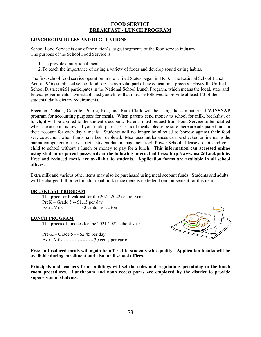### **FOOD SERVICE BREAKFAST / LUNCH PROGRAM**

### **LUNCHROOM RULES AND REGULATIONS**

School Food Service is one of the nation's largest segments of the food service industry. The purpose of the School Food Service is:

- 1. To provide a nutritional meal.
- 2.To teach the importance of eating a variety of foods and develop sound eating habits.

The first school food service operation in the United States began in 1853. The National School Lunch Act of 1946 established school food service as a vital part of the educational process. Haysville Unified School District #261 participates in the National School Lunch Program, which means the local, state and federal governments have established guidelines that must be followed to provide at least 1/3 of the students' daily dietary requirements.

Freeman, Nelson, Oatville, Prairie, Rex, and Ruth Clark will be using the computerized **WINSNAP** program for accounting purposes for meals. When parents send money to school for milk, breakfast, or lunch, it will be applied to the student's account. Parents must request from Food Service to be notified when the account is low. If your child purchases school meals, please be sure there are adequate funds in their account for each day's meals. Students will no longer be allowed to borrow against their food service account when funds have been depleted. Meal account balances can be checked online using the parent component of the district's student data management tool, Power School. Please do not send your child to school without a lunch or money to pay for a lunch. **This information can accessed online using student or parent passwords at the following internet address: [http://www.](http://www/)usd261.net/public. Free and reduced meals are available to students. Application forms are available in all school offices.**

Extra milk and various other items may also be purchased using meal account funds. Students and adults will be charged full price for additional milk since there is no federal reimbursement for this item.

#### **BREAKFAST PROGRAM**

The price for breakfast for the 2021-2022 school year. PreK – Grade 5 -- \$1.15 per day Extra Milk - - - - - - .30 cents per carton

#### **LUNCH PROGRAM**

The prices of lunches for the 2021-2022 school year

Pre-K – Grade 5 - - \$2.45 per day Extra Milk - - - - - **- - - - - -** 30 cents per carton



**Free and reduced meals will again be offered to students who qualify. Application blanks will be available during enrollment and also in all school offices.** 

**Principals and teachers from buildings will set the rules and regulations pertaining to the lunch room procedures. Lunchroom and noon recess paras are employed by the district to provide supervision of students.**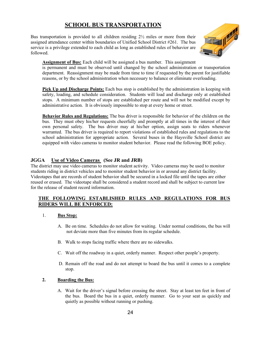### **SCHOOL BUS TRANSPORTATION**

Bus transportation is provided to all children residing 2½ miles or more from their assigned attendance center within boundaries of Unified School District #261. The bus service is a privilege extended to each child as long as established rules of behavior are followed.



**Assignment of Bus:** Each child will be assigned a bus number. This assignment

is permanent and must be observed until changed by the school administration or transportation department. Reassignment may be made from time to time if requested by the parent for justifiable reasons, or by the school administration when necessary to balance or eliminate overloading.

**Pick Up and Discharge Points:** Each bus stop is established by the administration in keeping with safety, loading, and schedule consideration. Students will load and discharge only at established stops. A minimum number of stops are established per route and will not be modified except by administrative action. It is obviously impossible to stop at every home or street.

**Behavior Rules and Regulations:** The bus driver is responsible for behavior of the children on the bus. They must obey his/her requests cheerfully and promptly at all times in the interest of their own personal safety. The bus driver may at his/her option, assign seats to riders whenever warranted. The bus driver is required to report violations of established rules and regulations to the school administration for appropriate action. Several buses in the Haysville School district are equipped with video cameras to monitor student behavior. Please read the following BOE policy.

### **JGGA Use of Video Cameras (See JR and JRB)**

The district may use video cameras to monitor student activity. Video cameras may be used to monitor students riding in district vehicles and to monitor student behavior in or around any district facility. Videotapes that are records of student behavior shall be secured in a locked file until the tapes are either reused or erased. The videotape shall be considered a student record and shall be subject to current law for the release of student record information.

### **THE FOLLOWING ESTABLISHED RULES AND REGULATIONS FOR BUS RIDERS WILL BE ENFORCED:**

### 1. **Bus Stop:**

- A. Be on time. Schedules do not allow for waiting. Under normal conditions, the bus will not deviate more than five minutes from its regular schedule.
- B. Walk to stops facing traffic where there are no sidewalks.
- C. Wait off the roadway in a quiet, orderly manner. Respect other people's property.
- D. Remain off the road and do not attempt to board the bus until it comes to a complete stop.

### **2. Boarding the Bus:**

A. Wait for the driver's signal before crossing the street. Stay at least ten feet in front of the bus. Board the bus in a quiet, orderly manner. Go to your seat as quickly and quietly as possible without running or pushing.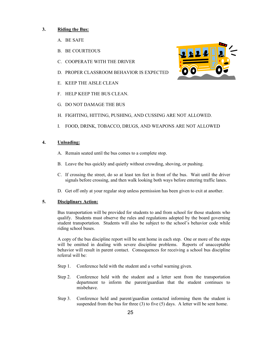### **3. Riding the Bus:**

- A. BE SAFE
- B. BE COURTEOUS
- C. COOPERATE WITH THE DRIVER
- D. PROPER CLASSROOM BEHAVIOR IS EXPECTED
- E. KEEP THE AISLE CLEAN
- F. HELP KEEP THE BUS CLEAN.
- G. DO NOT DAMAGE THE BUS
- H. FIGHTING, HITTING, PUSHING, AND CUSSING ARE NOT ALLOWED.
- I. FOOD, DRINK, TOBACCO, DRUGS, AND WEAPONS ARE NOT ALLOWED

#### **4. Unloading:**

- A. Remain seated until the bus comes to a complete stop.
- B. Leave the bus quickly and quietly without crowding, shoving, or pushing.
- C. If crossing the street, do so at least ten feet in front of the bus. Wait until the driver signals before crossing, and then walk looking both ways before entering traffic lanes.
- D. Get off only at your regular stop unless permission has been given to exit at another.

#### **5. Disciplinary Action:**

Bus transportation will be provided for students to and from school for those students who qualify. Students must observe the rules and regulations adopted by the board governing student transportation. Students will also be subject to the school's behavior code while riding school buses.

A copy of the bus discipline report will be sent home in each step. One or more of the steps will be omitted in dealing with severe discipline problems. Reports of unacceptable behavior will result in parent contact. Consequences for receiving a school bus discipline referral will be:

- Step 1. Conference held with the student and a verbal warning given.
- Step 2. Conference held with the student and a letter sent from the transportation department to inform the parent/guardian that the student continues to misbehave.
- Step 3. Conference held and parent/guardian contacted informing them the student is suspended from the bus for three  $(3)$  to five  $(5)$  days. A letter will be sent home.

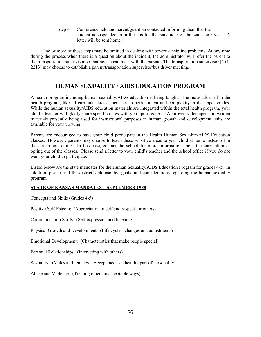Step 4. Conference held and parent/guardian contacted informing them that the student is suspended from the bus for the remainder of the semester / year. A letter will be sent home.

One or more of these steps may be omitted in dealing with severe discipline problems. At any time during the process when there is a question about the incident, the administrator will refer the parent to the transportation supervisor so that he/she can meet with the parent. The transportation supervisor (554- 2213) may choose to establish a parent/transportation supervisor/bus driver meeting.

### **HUMAN SEXUALITY / AIDS EDUCATION PROGRAM**

A health program including human sexuality/AIDS education is being taught. The materials used in the health program, like all curricular areas, increases in both content and complexity in the upper grades. While the human sexuality/AIDS education materials are integrated within the total health program, your child's teacher will gladly share specific dates with you upon request. Approved videotapes and written materials presently being used for instructional purposes in human growth and development units are available for your viewing.

Parents are encouraged to have your child participate in the Health Human Sexuality/AIDS Education classes. However, parents may choose to teach these sensitive areas to your child at home instead of in the classroom setting. In this case, contact the school for more information about the curriculum or opting out of the classes. Please send a letter to your child's teacher and the school office if you do not want your child to participate.

Listed below are the state mandates for the Human Sexuality/AIDS Education Program for grades 4-5. In addition, please find the district's philosophy, goals, and considerations regarding the human sexuality program.

### **STATE OF KANSAS MANDATES – SEPTEMBER 1988**

Concepts and Skills (Grades 4-5)

Positive Self-Esteem: (Appreciation of self and respect for others)

Communication Skills: (Self expression and listening)

Physical Growth and Development: (Life cycles, changes and adjustments)

Emotional Development: (Characteristics that make people special)

Personal Relationships: (Interacting with others)

Sexuality: (Males and females – Acceptance as a healthy part of personality)

Abuse and Violence: (Treating others in acceptable ways)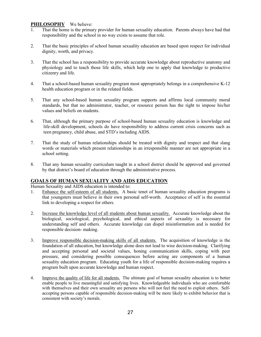## **PHILOSOPHY** We believe:

- That the home is the primary provider for human sexuality education. Parents always have had that responsibility and the school in no way exists to assume that role.
- 2. That the basic principles of school human sexuality education are based upon respect for individual dignity, worth, and privacy.
- 3. That the school has a responsibility to provide accurate knowledge about reproductive anatomy and physiology and to teach those life skills, which help one to apply that knowledge to productive citizenry and life.
- 4. That a school-based human sexuality program most appropriately belongs in a comprehensive K-12 health education program or in the related fields.
- 5. That any school-based human sexuality program supports and affirms local community moral standards, but that no administrator, teacher, or resource person has the right to impose his/her values and beliefs on students.
- 6. That, although the primary purpose of school-based human sexuality education is knowledge and life-skill development, schools do have responsibility to address current crisis concerns such as teen pregnancy, child abuse, and STD's including AIDS.
- 7. That the study of human relationships should be treated with dignity and respect and that slang words or materials which present relationships in an irresponsible manner are not appropriate in a school setting.
- 8. That any human sexuality curriculum taught in a school district should be approved and governed by that district's board of education through the administrative process.

### **GOALS OF HUMAN SEXUALITY AND AIDS EDUCATION**

Human Sexuality and AIDS education is intended to:

- 1. Enhance the self-esteem of all students. A basic tenet of human sexuality education programs is that youngsters must believe in their own personal self-worth. Acceptance of self is the essential link to developing a respect for others.
- 2. Increase the knowledge level of all students about human sexuality. Accurate knowledge about the biological, sociological, psychological, and ethical aspects of sexuality is necessary for understanding self and others. Accurate knowledge can dispel misinformation and is needed for responsible decision- making.
- 3. Improve responsible decision-making skills of all students. The acquisition of knowledge is the foundation of all education, but knowledge alone does not lead to wise decision-making. Clarifying and accepting personal and societal values, honing communication skills, coping with peer pressure, and considering possible consequences before acting are components of a human sexuality education program. Educating youth for a life of responsible decision-making requires a program built upon accurate knowledge and human respect.
- 4. Improve the quality of life for all students. The ultimate goal of human sexuality education is to better enable people to live meaningful and satisfying lives. Knowledgeable individuals who are comfortable with themselves and their own sexuality are persons who will not feel the need to exploit others. Selfaccepting persons capable of responsible decision-making will be more likely to exhibit behavior that is consistent with society's morals.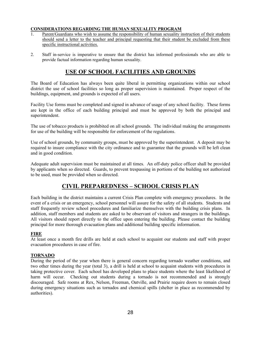### **CONSIDERATIONS REGARDING THE HUMAN SEXUALITY PROGRAM**

- 1. Parent/Guardians who wish to assume the responsibility of human sexuality instruction of their students should send a letter to the teacher and principal requesting that their student be excluded from these specific instructional activities.
- 2. Staff in-service is imperative to ensure that the district has informed professionals who are able to provide factual information regarding human sexuality.

### **USE OF SCHOOL FACILITIES AND GROUNDS**

The Board of Education has always been quite liberal in permitting organizations within our school district the use of school facilities so long as proper supervision is maintained. Proper respect of the buildings, equipment, and grounds is expected of all users.

Facility Use forms must be completed and signed in advance of usage of any school facility. These forms are kept in the office of each building principal and must be approved by both the principal and superintendent.

The use of tobacco products is prohibited on all school grounds. The individual making the arrangements for use of the building will be responsible for enforcement of the regulations.

Use of school grounds, by community groups, must be approved by the superintendent. A deposit may be required to insure compliance with the city ordinance and to guarantee that the grounds will be left clean and in good condition.

Adequate adult supervision must be maintained at all times. An off-duty police officer shall be provided by applicants when so directed. Guards, to prevent trespassing in portions of the building not authorized to be used, must be provided when so directed.

### **CIVIL PREPAREDNESS – SCHOOL CRISIS PLAN**

Each building in the district maintains a current Crisis Plan complete with emergency procedures. In the event of a crisis or an emergency, school personnel will assure for the safety of all students. Students and staff frequently review school procedures and familiarize themselves with the building crisis plans. In addition, staff members and students are asked to be observant of visitors and strangers in the buildings. All visitors should report directly to the office upon entering the building. Please contact the building principal for more thorough evacuation plans and additional building specific information.

### **FIRE**

At least once a month fire drills are held at each school to acquaint our students and staff with proper evacuation procedures in case of fire.

#### **TORNADO**

During the period of the year when there is general concern regarding tornado weather conditions, and two other times during the year (total 3), a drill is held at school to acquaint students with procedures in taking protective cover. Each school has developed plans to place students where the least likelihood of harm will occur. Checking out students during a tornado is not recommended and is strongly discouraged. Safe rooms at Rex, Nelson, Freeman, Oatville, and Prairie require doors to remain closed during emergency situations such as tornados and chemical spills (shelter in place as recommended by authorities).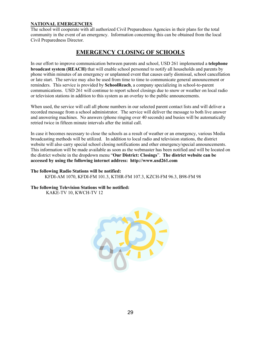### **NATIONAL EMERGENCIES**

The school will cooperate with all authorized Civil Preparedness Agencies in their plans for the total community in the event of an emergency. Information concerning this can be obtained from the local Civil Preparedness Director.

### **EMERGENCY CLOSING OF SCHOOLS**

In our effort to improve communication between parents and school, USD 261 implemented a **telephone broadcast system (REACH)** that will enable school personnel to notify all households and parents by phone within minutes of an emergency or unplanned event that causes early dismissal, school cancellation or late start. The service may also be used from time to time to communicate general announcement or reminders. This service is provided by **SchoolReach**, a company specializing in school-to-parent communications. USD 261 will continue to report school closings due to snow or weather on local radio or television stations in addition to this system as an overlay to the public announcements.

When used, the service will call all phone numbers in our selected parent contact lists and will deliver a recorded message from a school administrator. The service will deliver the message to both live answer and answering machines. No answers (phone ringing over 40 seconds) and busies will be automatically retried twice in fifteen minute intervals after the initial call.

In case it becomes necessary to close the schools as a result of weather or an emergency, various Media broadcasting methods will be utilized. In addition to local radio and television stations, the district website will also carry special school closing notifications and other emergency/special announcements. This information will be made available as soon as the webmaster has been notified and will be located on the district website in the dropdown menu "**Our District: Closings**". **The district website can be accessed by using the following internet address: http:/[/www.usd2](http://www.usd/)61.com**

### **The following Radio Stations will be notified:** KFDI-AM 1070, KFDI-FM 101.3, KTHR-FM 107.3, KZCH-FM 96.3, B98-FM 98

**The following Television Stations will be notified:** KAKE-TV 10, KWCH-TV 12

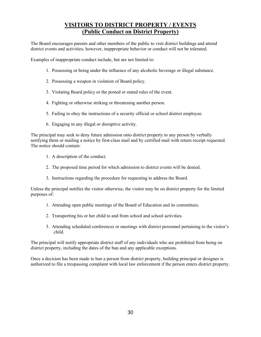### **VISITORS TO DISTRICT PROPERTY / EVENTS (Public Conduct on District Property)**

The Board encourages parents and other members of the public to visit district buildings and attend district events and activities; however, inappropriate behavior or conduct will not be tolerated.

Examples of inappropriate conduct include, but are not limited to:

- 1. Possessing or being under the influence of any alcoholic beverage or illegal substance.
- 2. Possessing a weapon in violation of Board policy.
- 3. Violating Board policy or the posted or stated rules of the event.
- 4. Fighting or otherwise striking or threatening another person.
- 5. Failing to obey the instructions of a security official or school district employee.
- 6. Engaging in any illegal or disruptive activity.

The principal may seek to deny future admission onto district property to any person by verbally notifying them or mailing a notice by first-class mail and by certified mail with return receipt requested. The notice should contain:

- 1. A description of the conduct.
- 2. The proposed time period for which admission to district events will be denied.
- 3. Instructions regarding the procedure for requesting to address the Board.

Unless the principal notifies the visitor otherwise, the visitor may be on district property for the limited purposes of:

- 1. Attending open public meetings of the Board of Education and its committees.
- 2. Transporting his or her child to and from school and school activities.
- 3. Attending scheduled conferences or meetings with district personnel pertaining to the visitor's child.

The principal will notify appropriate district staff of any individuals who are prohibited from being on district property, including the dates of the ban and any applicable exceptions.

Once a decision has been made to ban a person from district property, building principal or designee is authorized to file a trespassing complaint with local law enforcement if the person enters district property.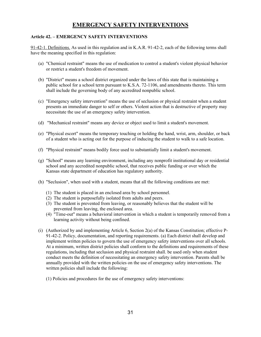### **EMERGENCY SAFETY INTERVENTIONS**

### **Article 42. – EMERGENCY SAFETY INTERVENTIONS**

91-42-1. Definitions. As used in this regulation and in K.A.R. 91-42-2, each of the following terms shall have the meaning specified in this regulation:

- (a) "Chemical restraint" means the use of medication to control a student's violent physical behavior or restrict a student's freedom of movement.
- (b) "District" means a school district organized under the laws of this state that is maintaining a public school for a school term pursuant to K.S.A. 72-1106, and amendments thereto. This term shall include the governing body of any accredited nonpublic school.
- (c) "Emergency safety intervention" means the use of seclusion or physical restraint when a student presents an immediate danger to self or others. Violent action that is destructive of property may necessitate the use of an emergency safety intervention.
- (d) "Mechanical restraint" means any device or object used to limit a student's movement.
- (e) "Physical escort" means the temporary touching or holding the hand, wrist, arm, shoulder, or back of a student who is acting out for the purpose of inducing the student to walk to a safe location.
- (f) "Physical restraint" means bodily force used to substantially limit a student's movement.
- (g) "School" means any learning environment, including any nonprofit institutional day or residential school and any accredited nonpublic school, that receives public funding or over which the Kansas state department of education has regulatory authority.
- (h) "Seclusion", when used with a student, means that all the following conditions are met:
	- (1) The student is placed in an enclosed area by school personnel.
	- (2) The student is purposefully isolated from adults and peers.
	- (3) The student is prevented from leaving, or reasonably believes that the student will be prevented from leaving, the enclosed area.
	- (4) "Time-out" means a behavioral intervention in which a student is temporarily removed from a learning activity without being confined.
- (i) (Authorized by and implementing Article 6, Section 2(a) of the Kansas Constitution; effective P-91-42-2. Policy, documentation, and reporting requirements. (a) Each district shall develop and implement written policies to govern the use of emergency safety interventions over all schools. At a minimum, written district policies shall conform to the definitions and requirements of these regulations, including that seclusion and physical restraint shall. be used only when student conduct meets the definition of necessitating an emergency safety intervention. Parents shall be annually provided with the written policies on the use of emergency safety interventions. The written policies shall include the following:
	- (1) Policies and procedures for the use of emergency safety interventions: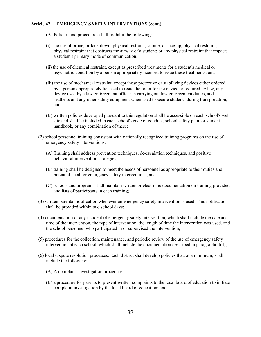#### **Article 42. – EMERGENCY SAFETY INTERVENTIONS (cont.)**

- (A) Policies and procedures shall prohibit the following:
- (i) The use of prone, or face-down, physical restraint; supine, or face-up, physical restraint; physical restraint that obstructs the airway of a student; or any physical restraint that impacts a student's primary mode of communication.
- (ii) the use of chemical restraint, except as prescribed treatments for a student's medical or psychiatric condition by a person appropriately licensed to issue these treatments; and
- (iii) the use of mechanical restraint, except those protective or stabilizing devices either ordered by a person appropriately licensed to issue the order for the device or required by law, any device used by a law enforcement officer in carrying out law enforcement duties, and seatbelts and any other safety equipment when used to secure students during transportation; and
- (B) written policies developed pursuant to this regulation shall be accessible on each school's web site and shall be included in each school's code of conduct, school safety plan, or student handbook, or any combination of these;
- (2) school personnel training consistent with nationally recognized training programs on the use of emergency safety interventions:
	- (A) Training shall address prevention techniques, de-escalation techniques, and positive behavioral intervention strategies;
	- (B) training shall be designed to meet the needs of personnel as appropriate to their duties and potential need for emergency safety interventions; and
	- (C) schools and programs shall maintain written or electronic documentation on training provided and lists of participants in each training;
- (3) written parental notification whenever an emergency safety intervention is used. This notification shall be provided within two school days;
- (4) documentation of any incident of emergency safety intervention, which shall include the date and time of the intervention, the type of intervention, the length of time the intervention was used, and the school personnel who participated in or supervised the intervention;
- (5) procedures for the collection, maintenance, and periodic review of the use of emergency safety intervention at each school, which shall include the documentation described in paragraph(a)(4);
- (6) local dispute resolution processes. Each district shall develop policies that, at a minimum, shall include the following:
	- (A) A complaint investigation procedure;
	- (B) a procedure for parents to present written complaints to the local board of education to initiate complaint investigation by the local board of education; and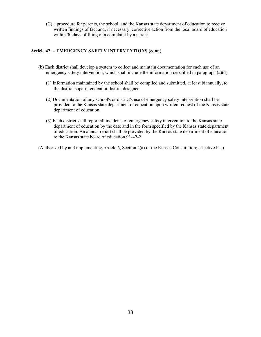(C) a procedure for parents, the school, and the Kansas state department of education to receive written findings of fact and, if necessary, corrective action from the local board of education within 30 days of filing of a complaint by a parent.

### **Article 42. – EMERGENCY SAFETY INTERVENTIONS (cont.)**

- (b) Each district shall develop a system to collect and maintain documentation for each use of an emergency safety intervention, which shall include the information described in paragraph (a)(4).
	- (1) Information maintained by the school shall be compiled and submitted, at least biannually, to the district superintendent or district designee.
	- (2) Documentation of any school's or district's use of emergency safety intervention shall be provided to the Kansas state department of education upon written request of the Kansas state department of education.
	- (3) Each district shall report all incidents of emergency safety intervention to the Kansas state department of education by the date and in the form specified by the Kansas state department of education. An annual report shall be provided by the Kansas state department of education to the Kansas state board of education.91-42-2

(Authorized by and implementing Article 6, Section 2(a) of the Kansas Constitution; effective P- .)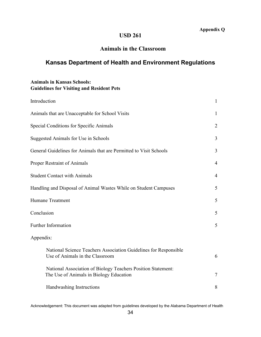### **USD 261**

### **Animals in the Classroom**

### **Kansas Department of Health and Environment Regulations**

### **Animals in Kansas Schools: Guidelines for Visiting and Resident Pets**

| Introduction                                                                                            | $\mathbf{1}$   |
|---------------------------------------------------------------------------------------------------------|----------------|
| Animals that are Unacceptable for School Visits                                                         | 1              |
| Special Conditions for Specific Animals                                                                 | $\overline{2}$ |
| Suggested Animals for Use in Schools                                                                    | 3              |
| General Guidelines for Animals that are Permitted to Visit Schools                                      | 3              |
| Proper Restraint of Animals                                                                             | $\overline{4}$ |
| <b>Student Contact with Animals</b>                                                                     | 4              |
| Handling and Disposal of Animal Wastes While on Student Campuses                                        | 5              |
| <b>Humane Treatment</b>                                                                                 | 5              |
| Conclusion                                                                                              | 5              |
| Further Information                                                                                     | 5              |
| Appendix:                                                                                               |                |
| National Science Teachers Association Guidelines for Responsible<br>Use of Animals in the Classroom     | 6              |
| National Association of Biology Teachers Position Statement:<br>The Use of Animals in Biology Education | $\tau$         |
| Handwashing Instructions                                                                                | 8              |

Acknowledgement: This document was adapted from guidelines developed by the Alabama Department of Health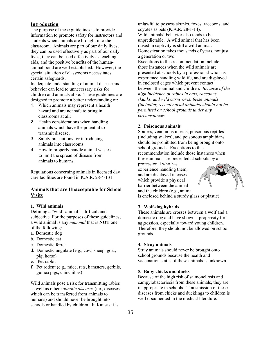### **Introduction**

The purpose of these guidelines is to provide information to promote safety for instructors and students when animals are brought into the classroom. Animals are part of our daily lives; they can be used effectively as part of our daily lives; they can be used effectively as teaching aids, and the positive benefits of the humananimal bond are well established. However, the special situation of classrooms necessitates certain safeguards.

Inadequate understanding of animal disease and behavior can lead to unnecessary risks for children and animals alike. These guidelines are designed to promote a better understanding of:

- 1. Which animals may represent a health hazard and are not safe to bring in classrooms at all;
- 2. Health considerations when handling animals which have the potential to transmit disease;
- 3. Safety precautions for introducing animals into classrooms;
- 4. How to properly handle animal wastes to limit the spread of disease from animals to humans.

Regulations concerning animals in licensed day care facilities are found in K.A.R. 28-4-131.

### **Animals that are Unacceptable for School Visits**

#### **1. Wild animals**

Defining a "wild" animal is difficult and subjective. For the purposes of these guidelines, a wild animal is any *mammal* that is **NOT** one of the following:

- a. Domestic dog
- b. Domestic cat
- c. Domestic ferret
- d. Domestic ungulate (e.g., cow, sheep, goat, pig, horse)
- e. Pet rabbit
- f. Pet rodent (e.g., mice, rats, hamsters, gerbils, guinea pigs, chinchillas)

Wild animals pose a risk for transmitting rabies as well as other *zoonotic diseases* (i.e., diseases which can be transferred from animals to humans) and should never be brought into schools or handled by children. In Kansas it is

unlawful to possess skunks, foxes, raccoons, and coyotes as pets (K.A.R. 28-1-14). Wild animals' behavior also tends to be unpredictable. A wild animal that has been raised in captivity is still a wild animal. Domestication takes thousands of years, not just a generation or two.

Exceptions to this recommendation include those instances when the wild animals are presented at schools by a professional who has experience handling wildlife, and are displayed in enclosed cages which prevent contact between the animal and children. *Because of the high incidence of rabies in bats, raccoons, skunks, and wild carnivores, these animals (including recently dead animals) should not be permitted on school grounds under any circumstances.*

#### **2. Poisonous animals**

Spiders, venomous insects, poisonous reptiles (including snakes), and poisonous amphibians should be prohibited from being brought onto school grounds. Exceptions to this recommendation include those instances when these animals are presented at schools by a

professional who has experience handling them, and are displayed in cases which provide a physical barrier between the animal and the children (e.g., animal



is enclosed behind a sturdy glass or plastic).

#### **3. Wolf-dog hybrids**

These animals are crosses between a wolf and a domestic dog and have shown a propensity for aggression, especially toward young children. Therefore, they should not be allowed on school grounds.

#### **4. Stray animals**

Stray animals should never be brought onto school grounds because the health and vaccination status of these animals is unknown.

#### **5. Baby chicks and ducks**

Because of the high risk of salmonellosis and campylobacteriosis from these animals, they are inappropriate in schools. Transmission of these diseases from chicks and ducklings to children is well documented in the medical literature.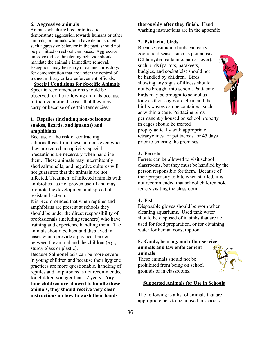### **6. Aggressive animals**

Animals which are bred or trained to demonstrate aggression towards humans or other animals, or animals which have demonstrated such aggressive behavior in the past, should not be permitted on school campuses. Aggressive, unprovoked, or threatening behavior should mandate the animal's immediate removal. Exceptions may be sentry or canine corps dogs for demonstration that are under the control of trained military or law enforcement officials.

#### **Special Conditions for Specific Animals**

Specific recommendations should be observed for the following animals because of their zoonotic diseases that they may carry or because of certain tendencies:

### **1. Reptiles (including non-poisonous snakes, lizards, and iguanas) and amphibians**

Because of the risk of contracting salmonellosis from these animals even when they are reared in captivity, special precautions are necessary when handling them. These animals may intermittently shed salmonella, and negative cultures will not guarantee that the animals are not infected. Treatment of infected animals with antibiotics has not proven useful and may promote the development and spread of resistant bacteria.

It is recommended that when reptiles and amphibians are present at schools they should be under the direct responsibility of professionals (including teachers) who have training and experience handling them. The animals should be kept and displayed in cases which provide a physical barrier between the animal and the children (e.g., sturdy glass or plastic).

Because Salmonellosis can be more severe in young children and because their hygiene practices are more questionable, handling of reptiles and amphibians is not recommended for children younger than 12 years. **Any time children are allowed to handle these animals, they should receive very clear instructions on how to wash their hands** 

### **thoroughly after they finish.** Hand

washing instructions are in the appendix.

### **2. Psittacine birds**

Because psittacine birds can carry zoonotic diseases such as psittacosis (Chlamydia psittacine, parrot fever), such birds (parrots, parakeets, budgies, and cockatiels) should not be handled by children. Birds showing any signs of illness should not be brought into school. Psittacine birds may be brought to school as long as their cages are clean and the bird's wastes can be contained, such as within a cage. Psittacine birds permanently housed on school property in cages should be treated prophylactically with appropriate tetracyclines for psittacosis for 45 days prior to entering the premises.



Ferrets can be allowed to visit school classrooms, but they must be handled by the person responsible for them. Because of their propensity to bite when startled, it is not recommended that school children hold ferrets visiting the classroom.

#### **4. Fish**

Disposable gloves should be worn when cleaning aquariums. Used tank water should be disposed of in sinks that are not used for food preparation, or for obtaining water for human consumption.

### **5. Guide, hearing, and other service animals and law enforcement**

**animals**

These animals should not be prohibited from being on school grounds or in classrooms.

#### **Suggested Animals for Use in Schools**

The following is a list of animals that are appropriate pets to be housed in schools:

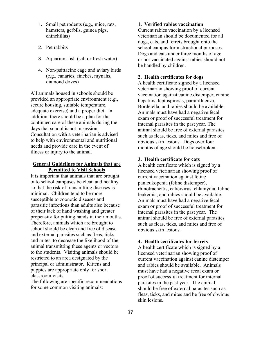- 1. Small pet rodents (e.g., mice, rats, hamsters, gerbils, guinea pigs, chinchillas)
- 2. Pet rabbits
- 3. Aquarium fish (salt or fresh water)
- 4. Non-psittacine cage and aviary birds (e.g., canaries, finches, mynahs, diamond doves)

All animals housed in schools should be provided an appropriate environment (e.g., secure housing, suitable temperature, adequate exercise) and a proper diet. In addition, there should be a plan for the continued care of these animals during the days that school is not in session. Consultation with a veterinarian is advised to help with environmental and nutritional needs and provide care in the event of illness or injury to the animal.

### **General Guidelines for Animals that are Permitted to Visit Schools**

It is important that animals that are brought onto school campuses be clean and healthy so that the risk of transmitting diseases is minimal. Children tend to be more susceptible to zoonotic diseases and parasitic infections than adults also because of their lack of hand washing and greater propensity for putting hands in their mouths. Therefore, animals which are brought to school should be clean and free of disease and external parasites such as fleas, ticks and mites, to decrease the likelihood of the animal transmitting these agents or vectors to the students. Visiting animals should be restricted to an area designated by the principal or administrator. Kittens and puppies are appropriate only for short classroom visits.

The following are specific recommendations for some common visiting animals:

### **1. Verified rabies vaccination**

Current rabies vaccination by a licensed veterinarian should be documented for all dogs, cats, and ferrets brought onto the school campus for instructional purposes. Dogs and cats under three months of age or not vaccinated against rabies should not be handled by children.

### **2. Health certificates for dogs**

A health certificate signed by a licensed veterinarian showing proof of current vaccination against canine distemper, canine hepatitis, leptospirosis, parainfluenza, Bordetella, and rabies should be available. Animals must have had a negative fecal exam or proof of successful treatment for internal parasites in the past year. The animal should be free of external parasites such as fleas, ticks, and mites and free of obvious skin lesions. Dogs over four months of age should be housebroken.

### **3. Health certificate for cats**

A health certificate which is signed by a licensed veterinarian showing proof of current vaccination against feline panleukopenia (feline distemper), rhinotracheitis, calicivirus, chlamydia, feline leukemia, and rabies should be available. Animals must have had a negative fecal exam or proof of successful treatment for internal parasites in the past year. The animal should be free of external parasites such as fleas, ticks, and mites and free of obvious skin lesions.

### **4. Health certificates for ferrets**

A health certificate which is signed by a licensed veterinarian showing proof of current vaccination against canine distemper and rabies should be available. Animals must have had a negative fecal exam or proof of successful treatment for internal parasites in the past year. The animal should be free of external parasites such as fleas, ticks, and mites and be free of obvious skin lesions.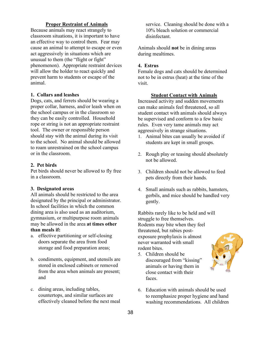### **Proper Restraint of Animals**

Because animals may react strangely to classroom situations, it is important to have an effective way to control them. Fear may cause an animal to attempt to escape or even act aggressively in situations which are unusual to them (the "flight or fight" phenomenon). Appropriate restraint devices will allow the holder to react quickly and prevent harm to students or escape of the animal.

### **1. Collars and leashes**

Dogs, cats, and ferrets should be wearing a proper collar, harness, and/or leash when on the school campus or in the classroom so they can be easily controlled. Household rope or string is not an appropriate restraint tool. The owner or responsible person should stay with the animal during its visit to the school. No animal should be allowed to roam unrestrained on the school campus or in the classroom.

### **2. Pet birds**

Pet birds should never be allowed to fly free in a classroom.

#### **3. Designated areas**

All animals should be restricted to the area designated by the principal or administrator. In school facilities in which the common dining area is also used as an auditorium, gymnasium, or multipurpose room animals may be allowed in the area **at times other than meals if:**

- a. effective partitioning or self-closing doors separate the area from food storage and food preparation areas;
- b. condiments, equipment, and utensils are stored in enclosed cabinets or removed from the area when animals are present; and
- c. dining areas, including tables, countertops, and similar surfaces are effectively cleaned before the next meal

service. Cleaning should be done with a 10% bleach solution or commercial disinfectant.

Animals should **not** be in dining areas during mealtimes.

### **4. Estrus**

Female dogs and cats should be determined not to be in estrus (heat) at the time of the visit.

#### **Student Contact with Animals**

Increased activity and sudden movements can make animals feel threatened, so all student contact with animals should always be supervised and conform to a few basic rules. Even very tame animals may act aggressively in strange situations.

- 1. Animal bites can usually be avoided if students are kept in small groups.
- 2. Rough play or teasing should absolutely not be allowed.
- 3. Children should not be allowed to feed pets directly from their hands.
- 4. Small animals such as rabbits, hamsters, gerbils, and mice should be handled very gently.

Rabbits rarely like to be held and will struggle to free themselves. Rodents may bite when they feel threatened, but rabies postexposure prophylaxis is almost never warranted with small rodent bites.

5. Children should be discouraged from "kissing" animals or having them in close contact with their faces.



6. Education with animals should be used to reemphasize proper hygiene and hand washing recommendations. All children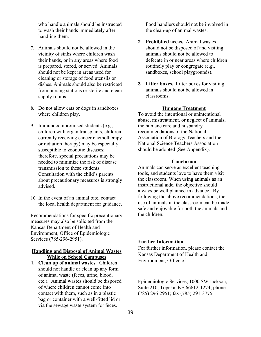who handle animals should be instructed to wash their hands immediately after handling them.

- 7. Animals should not be allowed in the vicinity of sinks where children wash their hands, or in any areas where food is prepared, stored, or served. Animals should not be kept in areas used for cleaning or storage of food utensils or dishes. Animals should also be restricted from nursing stations or sterile and clean supply rooms.
- 8. Do not allow cats or dogs in sandboxes where children play.
- 9. Immunocompromised students (e.g., children with organ transplants, children currently receiving cancer chemotherapy or radiation therapy) may be especially susceptible to zoonotic diseases; therefore, special precautions may be needed to minimize the risk of disease transmission to these students. Consultation with the child's parents about precautionary measures is strongly advised.
- 10. In the event of an animal bite, contact the local health department for guidance.

Recommendations for specific precautionary measures may also be solicited from the Kansas Department of Health and Environment, Office of Epidemiologic Services (785-296-2951).

### **Handling and Disposal of Animal Wastes While on School Campuses**

**1. Clean up of animal wastes.** Children should not handle or clean up any form of animal waste (feces, urine, blood, etc.). Animal wastes should be disposed of where children cannot come into contact with them, such as in a plastic bag or container with a well-fitted lid or via the sewage waste system for feces.

Food handlers should not be involved in the clean-up of animal wastes.

- **2. Prohibited areas.** Animal wastes should not be disposed of and visiting animals should not be allowed to defecate in or near areas where children routinely play or congregate (e.g., sandboxes, school playgrounds).
- **3. Litter boxes.** Litter boxes for visiting animals should not be allowed in classrooms.

#### **Humane Treatment**

To avoid the intentional or unintentional abuse, mistreatment, or neglect of animals, the humane care and husbandry recommendations of the National Association of Biology Teachers and the National Science Teachers Association should be adopted (See Appendix).

#### **Conclusion**

Animals can serve as excellent teaching tools, and students love to have them visit the classroom. When using animals as an instructional aide, the objective should always be well planned in advance. By following the above recommendations, the use of animals in the classroom can be made safe and enjoyable for both the animals and the children.

### **Further Information**

For further information, please contact the Kansas Department of Health and Environment, Office of

Epidemiologic Services, 1000 SW Jackson, Suite 210, Topeka, KS 66612-1274; phone (785) 296-2951; fax (785) 291-3775.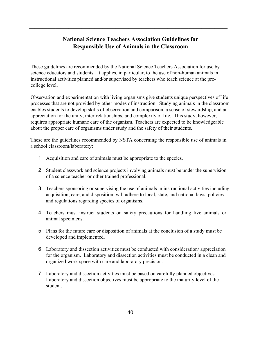### **National Science Teachers Association Guidelines for Responsible Use of Animals in the Classroom**

**\_\_\_\_\_\_\_\_\_\_\_\_\_\_\_\_\_\_\_\_\_\_\_\_\_\_\_\_\_\_\_\_\_\_\_\_\_\_\_\_\_\_\_\_\_\_\_\_\_\_\_\_\_\_\_\_\_\_\_\_\_\_\_\_\_\_\_**

\_\_\_\_\_\_\_\_\_\_\_\_\_\_\_\_\_\_\_\_\_\_\_\_\_\_\_\_\_\_\_\_\_\_\_\_\_\_\_\_\_\_\_\_\_\_\_\_\_\_\_\_\_\_\_\_\_\_\_\_\_\_\_\_\_\_\_\_\_\_\_\_\_\_\_\_

These guidelines are recommended by the National Science Teachers Association for use by science educators and students. It applies, in particular, to the use of non-human animals in instructional activities planned and/or supervised by teachers who teach science at the precollege level.

Observation and experimentation with living organisms give students unique perspectives of life processes that are not provided by other modes of instruction. Studying animals in the classroom enables students to develop skills of observation and comparison, a sense of stewardship, and an appreciation for the unity, inter-relationships, and complexity of life. This study, however, requires appropriate humane care of the organism. Teachers are expected to be knowledgeable about the proper care of organisms under study and the safety of their students.

These are the guidelines recommended by NSTA concerning the responsible use of animals in a school classroom/laboratory:

- 1. Acquisition and care of animals must be appropriate to the species.
- 2. Student classwork and science projects involving animals must be under the supervision of a science teacher or other trained professional.
- 3. Teachers sponsoring or supervising the use of animals in instructional activities including acquisition, care, and disposition, will adhere to local, state, and national laws, policies and regulations regarding species of organisms.
- 4. Teachers must instruct students on safety precautions for handling live animals or animal specimens.
- 5. Plans for the future care or disposition of animals at the conclusion of a study must be developed and implemented.
- 6. Laboratory and dissection activities must be conducted with consideration/ appreciation for the organism. Laboratory and dissection activities must be conducted in a clean and organized work space with care and laboratory precision.
- 7. Laboratory and dissection activities must be based on carefully planned objectives. Laboratory and dissection objectives must be appropriate to the maturity level of the student.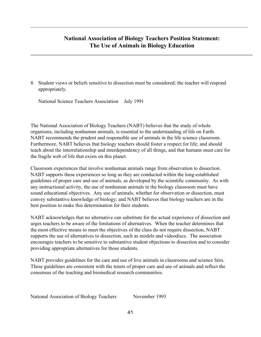### **National Association of Biology Teachers Position Statement: The Use of Animals in Biology Education**

**\_\_\_\_\_\_\_\_\_\_\_\_\_\_\_\_\_\_\_\_\_\_\_\_\_\_\_\_\_\_\_\_\_\_\_\_\_\_\_\_\_\_\_\_\_\_\_\_\_\_\_\_\_\_\_\_\_\_\_\_\_\_\_\_\_\_\_\_\_\_\_\_\_\_\_\_\_\_\_\_\_\_\_\_\_\_\_**

 $\mathcal{L}_\mathcal{L} = \{ \mathcal{L}_\mathcal{L} = \{ \mathcal{L}_\mathcal{L} = \{ \mathcal{L}_\mathcal{L} = \{ \mathcal{L}_\mathcal{L} = \{ \mathcal{L}_\mathcal{L} = \{ \mathcal{L}_\mathcal{L} = \{ \mathcal{L}_\mathcal{L} = \{ \mathcal{L}_\mathcal{L} = \{ \mathcal{L}_\mathcal{L} = \{ \mathcal{L}_\mathcal{L} = \{ \mathcal{L}_\mathcal{L} = \{ \mathcal{L}_\mathcal{L} = \{ \mathcal{L}_\mathcal{L} = \{ \mathcal{L}_\mathcal{$ 

8. Student views or beliefs sensitive to dissection must be considered; the teacher will respond appropriately.

National Science Teachers Association July 1991

The National Association of Biology Teachers (NABT) believes that the study of whole organisms, including nonhuman animals, is essential to the understanding of life on Earth. NABT recommends the prudent and responsible use of animals in the life science classroom. Furthermore, NABT believes that biology teachers should foster a respect for life; and should teach about the interrelationship and interdependency of all things, and that humans must care for the fragile web of life that exists on this planet.

Classroom experiences that involve nonhuman animals range from observation to dissection. NABT supports these experiences so long as they are conducted within the long-established guidelines of proper care and use of animals, as developed by the scientific community. As with any instructional activity, the use of nonhuman animals in the biology classroom must have sound educational objectives. Any use of animals, whether for observation or dissection, must convey substantive knowledge of biology; and NABT believes that biology teachers are in the best position to make this determination for their students.

NABT acknowledges that no alternative can substitute for the actual experience of dissection and urges teachers to be aware of the limitations of alternatives. When the teacher determines that the most effective means to meet the objectives of the class do not require dissection, NABT supports the use of alternatives to dissection, such as models and videodiscs. The association encourages teachers to be sensitive to substantive student objections to dissection and to consider providing appropriate alternatives for those students.

NABT provides guidelines for the care and use of live animals in classrooms and science fairs. These guidelines are consistent with the tenets of proper care and use of animals and reflect the consensus of the teaching and biomedical research communities.

National Association of Biology Teachers November 1993